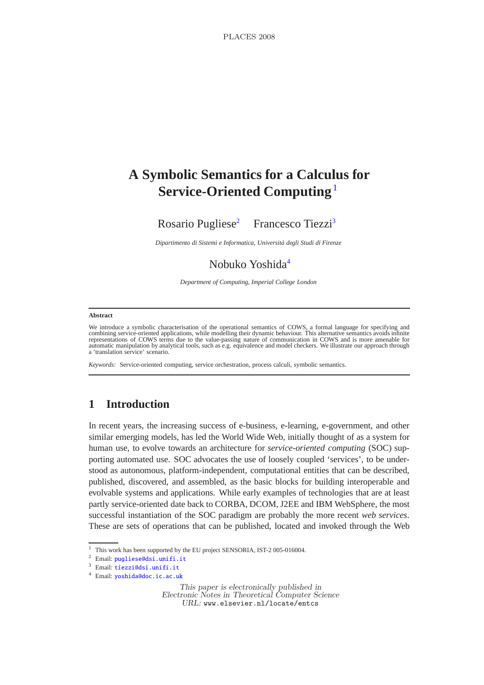# **A Symbolic Semantics for a Calculus for Service-Oriented Computing**[1](#page-11-0)

Rosario Pugliese<sup>[2](#page-11-0)</sup> Francesco Tiezzi<sup>[3](#page-11-0)</sup>

*Dipartimento di Sistemi e Informatica, Universit`a degli Studi di Firenze*

## Nobuko Yoshida[4](#page-11-0)

*Department of Computing, Imperial College London*

#### **Abstract**

We introduce a symbolic characterisation of the operational semantics of COWS, a formal language for specifying and combining service-oriented applications, while modelling their dynamic behaviour. This alternative semantics avoids infinite representations of COWS terms due to the value-passing nature of communication in COWS and is more amenable for automatic manipulation by analytical tools, such as e.g. equivalence and model checkers. We illustrate our approach through a 'translation service' scenario.

*Keywords:* Service-oriented computing, service orchestration, process calculi, symbolic semantics.

## **1 Introduction**

In recent years, the increasing success of e-business, e-learning, e-government, and other similar emerging models, has led the World Wide Web, initially thought of as a system for human use, to evolve towards an architecture for *service-oriented computing* (SOC) supporting automated use. SOC advocates the use of loosely coupled 'services', to be understood as autonomous, platform-independent, computational entities that can be described, published, discovered, and assembled, as the basic blocks for building interoperable and evolvable systems and applications. While early examples of technologies that are at least partly service-oriented date back to CORBA, DCOM, J2EE and IBM WebSphere, the most successful instantiation of the SOC paradigm are probably the more recent *web services*. These are sets of operations that can be published, located and invoked through the Web

<sup>&</sup>lt;sup>1</sup> This work has been supported by the EU project SENSORIA, IST-2 005-016004.

<sup>2</sup> Email: [pugliese@dsi.unifi.it](mailto:pugliese@dsi.unifi.it)

<sup>3</sup> Email: [tiezzi@dsi.unifi.it](mailto:tiezzi@dsi.unifi.it)

<sup>4</sup> Email: [yoshida@doc.ic.ac.uk](mailto:yoshida@doc.ic.ac.uk)

This paper is electronically published in Electronic Notes in Theoretical Computer Science URL: www.elsevier.nl/locate/entcs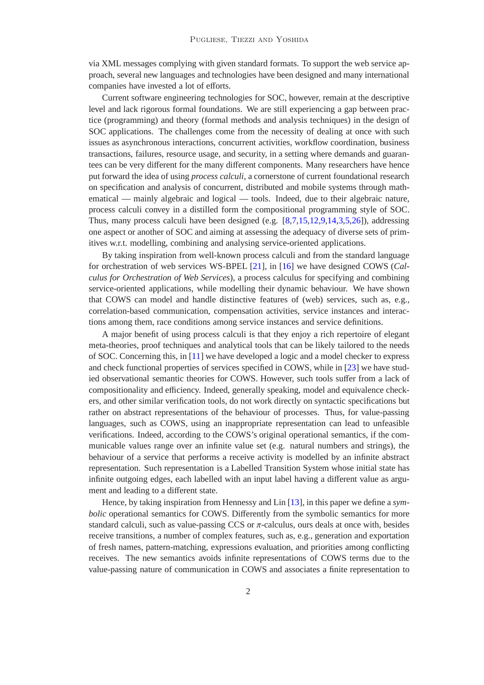via XML messages complying with given standard formats. To support the web service approach, several new languages and technologies have been designed and many international companies have invested a lot of efforts.

Current software engineering technologies for SOC, however, remain at the descriptive level and lack rigorous formal foundations. We are still experiencing a gap between practice (programming) and theory (formal methods and analysis techniques) in the design of SOC applications. The challenges come from the necessity of dealing at once with such issues as asynchronous interactions, concurrent activities, workflow coordination, business transactions, failures, resource usage, and security, in a setting where demands and guarantees can be very different for the many different components. Many researchers have hence put forward the idea of using *process calculi*, a cornerstone of current foundational research on specification and analysis of concurrent, distributed and mobile systems through mathematical — mainly algebraic and logical — tools. Indeed, due to their algebraic nature, process calculi convey in a distilled form the compositional programming style of SOC. Thus, many process calculi have been designed (e.g. [\[8](#page-27-0)[,7](#page-27-1)[,15,](#page-27-2)[12](#page-27-3)[,9,](#page-27-4)[14,](#page-27-5)[3](#page-27-6)[,5,](#page-27-7)[26\]](#page-28-0)), addressing one aspect or another of SOC and aiming at assessing the adequacy of diverse sets of primitives w.r.t. modelling, combining and analysing service-oriented applications.

By taking inspiration from well-known process calculi and from the standard language for orchestration of web services WS-BPEL [\[21\]](#page-28-1), in [\[16\]](#page-27-8) we have designed COWS (*Calculus for Orchestration of Web Services*), a process calculus for specifying and combining service-oriented applications, while modelling their dynamic behaviour. We have shown that COWS can model and handle distinctive features of (web) services, such as, e.g., correlation-based communication, compensation activities, service instances and interactions among them, race conditions among service instances and service definitions.

A major benefit of using process calculi is that they enjoy a rich repertoire of elegant meta-theories, proof techniques and analytical tools that can be likely tailored to the needs of SOC. Concerning this, in [\[11\]](#page-27-9) we have developed a logic and a model checker to express and check functional properties of services specified in COWS, while in [\[23\]](#page-28-2) we have studied observational semantic theories for COWS. However, such tools suffer from a lack of compositionality and efficiency. Indeed, generally speaking, model and equivalence checkers, and other similar verification tools, do not work directly on syntactic specifications but rather on abstract representations of the behaviour of processes. Thus, for value-passing languages, such as COWS, using an inappropriate representation can lead to unfeasible verifications. Indeed, according to the COWS's original operational semantics, if the communicable values range over an infinite value set (e.g. natural numbers and strings), the behaviour of a service that performs a receive activity is modelled by an infinite abstract representation. Such representation is a Labelled Transition System whose initial state has infinite outgoing edges, each labelled with an input label having a different value as argument and leading to a different state.

Hence, by taking inspiration from Hennessy and Lin [\[13\]](#page-27-10), in this paper we define a *symbolic* operational semantics for COWS. Differently from the symbolic semantics for more standard calculi, such as value-passing CCS or  $\pi$ -calculus, ours deals at once with, besides receive transitions, a number of complex features, such as, e.g., generation and exportation of fresh names, pattern-matching, expressions evaluation, and priorities among conflicting receives. The new semantics avoids infinite representations of COWS terms due to the value-passing nature of communication in COWS and associates a finite representation to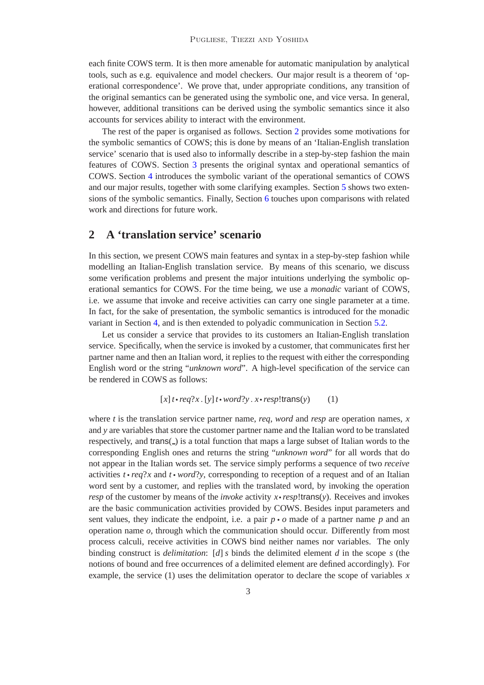each finite COWS term. It is then more amenable for automatic manipulation by analytical tools, such as e.g. equivalence and model checkers. Our major result is a theorem of 'operational correspondence'. We prove that, under appropriate conditions, any transition of the original semantics can be generated using the symbolic one, and vice versa. In general, however, additional transitions can be derived using the symbolic semantics since it also accounts for services ability to interact with the environment.

The rest of the paper is organised as follows. Section [2](#page-2-0) provides some motivations for the symbolic semantics of COWS; this is done by means of an 'Italian-English translation service' scenario that is used also to informally describe in a step-by-step fashion the main features of COWS. Section [3](#page-6-0) presents the original syntax and operational semantics of COWS. Section [4](#page-11-1) introduces the symbolic variant of the operational semantics of COWS and our major results, together with some clarifying examples. Section [5](#page-22-0) shows two extensions of the symbolic semantics. Finally, Section [6](#page-26-0) touches upon comparisons with related work and directions for future work.

## <span id="page-2-0"></span>**2 A 'translation service' scenario**

In this section, we present COWS main features and syntax in a step-by-step fashion while modelling an Italian-English translation service. By means of this scenario, we discuss some verification problems and present the major intuitions underlying the symbolic operational semantics for COWS. For the time being, we use a *monadic* variant of COWS, i.e. we assume that invoke and receive activities can carry one single parameter at a time. In fact, for the sake of presentation, the symbolic semantics is introduced for the monadic variant in Section [4,](#page-11-1) and is then extended to polyadic communication in Section [5.2.](#page-23-0)

Let us consider a service that provides to its customers an Italian-English translation service. Specifically, when the service is invoked by a customer, that communicates first her partner name and then an Italian word, it replies to the request with either the corresponding English word or the string "*unknown word*". A high-level specification of the service can be rendered in COWS as follows:

$$
[x] \, t \cdot \text{req?} x \, . \, [y] \, t \cdot \text{word?} y \, . \, x \cdot \text{resp!} \, \text{trans}(y) \tag{1}
$$

where *t* is the translation service partner name, *req*, *word* and *resp* are operation names, *x* and *y* are variables that store the customer partner name and the Italian word to be translated respectively, and trans(.) is a total function that maps a large subset of Italian words to the corresponding English ones and returns the string "*unknown word*" for all words that do not appear in the Italian words set. The service simply performs a sequence of two *receive* activities *t* • *req*?*x* and *t* • *word*?*y*, corresponding to reception of a request and of an Italian word sent by a customer, and replies with the translated word, by invoking the operation *resp* of the customer by means of the *invoke* activity *x* • *resp*!trans(*y*). Receives and invokes are the basic communication activities provided by COWS. Besides input parameters and sent values, they indicate the endpoint, i.e. a pair  $p \cdot o$  made of a partner name  $p$  and an operation name *o*, through which the communication should occur. Differently from most process calculi, receive activities in COWS bind neither names nor variables. The only binding construct is *delimitation*: [*d*] *s* binds the delimited element *d* in the scope *s* (the notions of bound and free occurrences of a delimited element are defined accordingly). For example, the service (1) uses the delimitation operator to declare the scope of variables *x*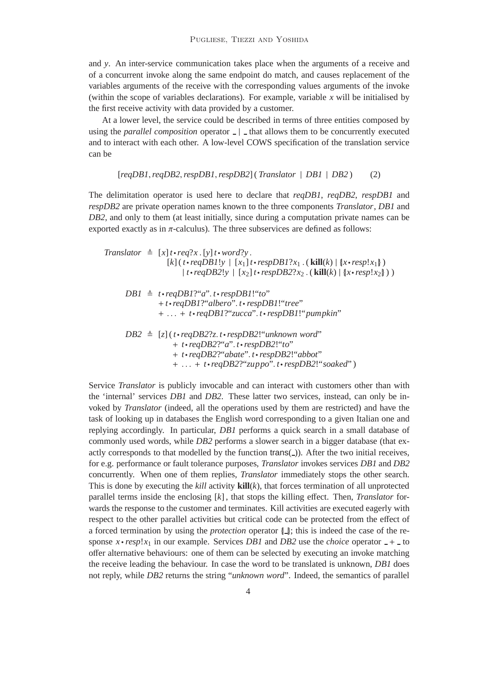and *y*. An inter-service communication takes place when the arguments of a receive and of a concurrent invoke along the same endpoint do match, and causes replacement of the variables arguments of the receive with the corresponding values arguments of the invoke (within the scope of variables declarations). For example, variable *x* will be initialised by the first receive activity with data provided by a customer.

At a lower level, the service could be described in terms of three entities composed by using the *parallel composition* operator  $\lfloor \cdot \rfloor$  that allows them to be concurrently executed and to interact with each other. A low-level COWS specification of the translation service can be

```
[reqDB1,reqDB2,respDB1,respDB2] ( Translator | DB1 | DB2 ) (2)
```
The delimitation operator is used here to declare that *reqDB1*, *reqDB2*, *respDB1* and *respDB2* are private operation names known to the three components *Translator*, *DB1* and *DB2*, and only to them (at least initially, since during a computation private names can be exported exactly as in  $\pi$ -calculus). The three subservices are defined as follows:

*Translator*  $\triangleq [x]t \cdot \text{req}$ ?*x* . [y]  $t \cdot \text{word}$ ?*y* .  $[k]$  (*t* • *reqDB1*!*y* |  $[x_1]$  *t* • *respDB1*?*x*<sub>1</sub> . (**kill**(*k*) | { $x$  • *resp*!*x*<sub>1</sub>})  $| t \cdot \text{regDB2!} y | [x_2] t \cdot \text{resp.} DB2?x_2 . ($ **kill**(*k*) | {|*x* • *resp*! $x_2$ } ) )  $DB1 \triangleq t \cdot \text{req} DB1$ ?"*a*".  $t \cdot \text{resp} DB1$ !" $to$ " + *t* • *reqDB1*?"*albero*". *t* • *respDB1*!"*tree*" + . . . + *t* • *reqDB1*?"*zucca*". *t* • *respDB1*!"*pumpkin*"  $DB2 \triangleq [\mathbf{z}]$  ( $t \cdot \text{req}DB2$ ? $\mathbf{z}$ .  $t \cdot \text{resp}DB2$ !"*unknown word*" + *t* • *reqDB2*?"*a*". *t* • *respDB2*!"*to*" + *t* • *reqDB2*?"*abate*". *t* • *respDB2*!"*abbot*" + . . . + *t* • *reqDB2*?"*zuppo*". *t* • *respDB2*!"*soaked*" )

Service *Translator* is publicly invocable and can interact with customers other than with the 'internal' services *DB1* and *DB2*. These latter two services, instead, can only be invoked by *Translator* (indeed, all the operations used by them are restricted) and have the task of looking up in databases the English word corresponding to a given Italian one and replying accordingly. In particular, *DB1* performs a quick search in a small database of commonly used words, while *DB2* performs a slower search in a bigger database (that exactly corresponds to that modelled by the function trans( )). After the two initial receives, for e.g. performance or fault tolerance purposes, *Translator* invokes services *DB1* and *DB2* concurrently. When one of them replies, *Translator* immediately stops the other search. This is done by executing the *kill* activity **kill**(*k*), that forces termination of all unprotected parallel terms inside the enclosing [*k*] , that stops the killing effect. Then, *Translator* forwards the response to the customer and terminates. Kill activities are executed eagerly with respect to the other parallel activities but critical code can be protected from the effect of a forced termination by using the *protection* operator {| |}; this is indeed the case of the response  $x \cdot resp!x_1$  in our example. Services *DB1* and *DB2* use the *choice* operator  $- + -$  to offer alternative behaviours: one of them can be selected by executing an invoke matching the receive leading the behaviour. In case the word to be translated is unknown, *DB1* does not reply, while *DB2* returns the string "*unknown word*". Indeed, the semantics of parallel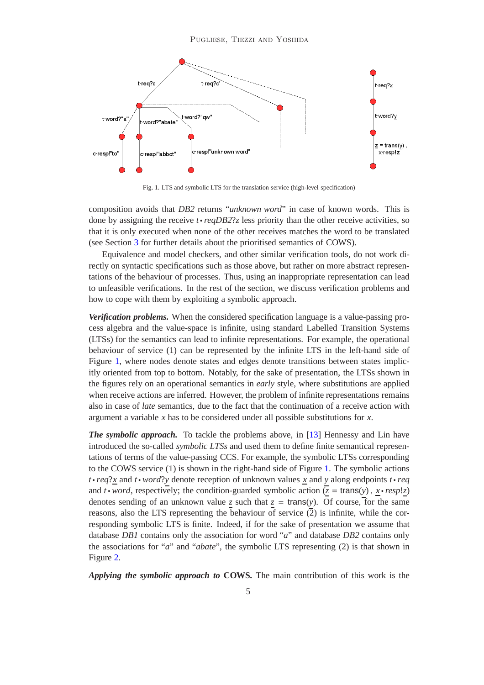

<span id="page-4-0"></span>Fig. 1. LTS and symbolic LTS for the translation service (high-level specification)

composition avoids that *DB2* returns "*unknown word*" in case of known words. This is done by assigning the receive *t* • *reqDB2*?*z* less priority than the other receive activities, so that it is only executed when none of the other receives matches the word to be translated (see Section [3](#page-6-0) for further details about the prioritised semantics of COWS).

Equivalence and model checkers, and other similar verification tools, do not work directly on syntactic specifications such as those above, but rather on more abstract representations of the behaviour of processes. Thus, using an inappropriate representation can lead to unfeasible verifications. In the rest of the section, we discuss verification problems and how to cope with them by exploiting a symbolic approach.

*Verification problems.* When the considered specification language is a value-passing process algebra and the value-space is infinite, using standard Labelled Transition Systems (LTSs) for the semantics can lead to infinite representations. For example, the operational behaviour of service (1) can be represented by the infinite LTS in the left-hand side of Figure [1,](#page-4-0) where nodes denote states and edges denote transitions between states implicitly oriented from top to bottom. Notably, for the sake of presentation, the LTSs shown in the figures rely on an operational semantics in *early* style, where substitutions are applied when receive actions are inferred. However, the problem of infinite representations remains also in case of *late* semantics, due to the fact that the continuation of a receive action with argument a variable *x* has to be considered under all possible substitutions for *x*.

*The symbolic approach.* To tackle the problems above, in [\[13\]](#page-27-10) Hennessy and Lin have introduced the so-called *symbolic LTSs* and used them to define finite semantical representations of terms of the value-passing CCS. For example, the symbolic LTSs corresponding to the COWS service (1) is shown in the right-hand side of Figure [1.](#page-4-0) The symbolic actions *t* • *req*?*x* and *t* • *word*?*y* denote reception of unknown values *x* and *y* along endpoints *t* • *req* and *t* • *word*, respectively; the condition-guarded symbolic action ( $z = \text{trans}(y)$ ,  $x \cdot \text{resp}!z$ ) denotes sending of an unknown value  $\zeta$  such that  $\zeta$  = trans(*y*). Of course, for the same reasons, also the LTS representing the behaviour of service (2) is infinite, while the corresponding symbolic LTS is finite. Indeed, if for the sake of presentation we assume that database *DB1* contains only the association for word "*a*" and database *DB2* contains only the associations for "*a*" and "*abate*", the symbolic LTS representing (2) is that shown in Figure [2.](#page-5-0)

*Applying the symbolic approach to* **COWS***.* The main contribution of this work is the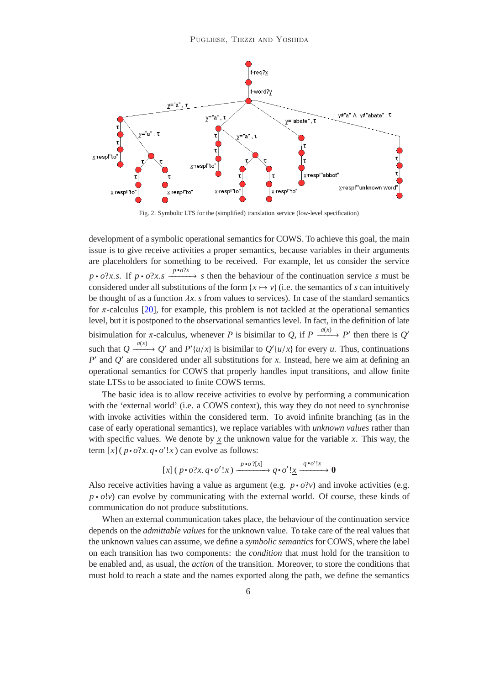

<span id="page-5-0"></span>Fig. 2. Symbolic LTS for the (simplified) translation service (low-level specification)

development of a symbolic operational semantics for COWS. To achieve this goal, the main issue is to give receive activities a proper semantics, because variables in their arguments are placeholders for something to be received. For example, let us consider the service  $p \cdot o$ ?*x*.*s*. If  $p \cdot o$ ?*x*.*s*  $\xrightarrow{p \cdot o}$ ?*x*.*s*  $\xrightarrow{p \cdot o}$ ?*x*.*s*  $\xrightarrow{p \cdot o}$ ?*x*.*s*  $\xrightarrow{p \cdot o}$ ?*x*.*s*  $\xrightarrow{p \cdot o}$ ?*x*.*s* considered under all substitutions of the form  $\{x \mapsto v\}$  (i.e. the semantics of *s* can intuitively be thought of as a function  $\lambda x$ . *s* from values to services). In case of the standard semantics for  $\pi$ -calculus [\[20\]](#page-28-3), for example, this problem is not tackled at the operational semantics level, but it is postponed to the observational semantics level. In fact, in the definition of late bisimulation for  $\pi$ -calculus, whenever *P* is bisimilar to *Q*, if  $P \xrightarrow{a(x)} P'$  then there is *Q'* such that  $Q \xrightarrow{a(x)} Q'$  and  $P'\{u/x\}$  is bisimilar to  $Q'\{u/x\}$  for every *u*. Thus, continuations *P* ′ and *Q* ′ are considered under all substitutions for *x*. Instead, here we aim at defining an operational semantics for COWS that properly handles input transitions, and allow finite state LTSs to be associated to finite COWS terms.

The basic idea is to allow receive activities to evolve by performing a communication with the 'external world' (i.e. a COWS context), this way they do not need to synchronise with invoke activities within the considered term. To avoid infinite branching (as in the case of early operational semantics), we replace variables with *unknown values* rather than with specific values. We denote by  $\chi$  the unknown value for the variable  $\chi$ . This way, the term  $[x]$  ( $p \cdot o$ ?*x*.  $q \cdot o'$ !*x*) can evolve as follows:

$$
[x] (p \cdot o?x. q \cdot o'!x) \xrightarrow{p \cdot o?[x]} q \cdot o'!x \xrightarrow{q \cdot o'!x} 0
$$

Also receive activities having a value as argument (e.g.  $p \cdot o?v$ ) and invoke activities (e.g.  $p \cdot o!y$  can evolve by communicating with the external world. Of course, these kinds of communication do not produce substitutions.

When an external communication takes place, the behaviour of the continuation service depends on the *admittable values* for the unknown value. To take care of the real values that the unknown values can assume, we define a *symbolic semantics* for COWS, where the label on each transition has two components: the *condition* that must hold for the transition to be enabled and, as usual, the *action* of the transition. Moreover, to store the conditions that must hold to reach a state and the names exported along the path, we define the semantics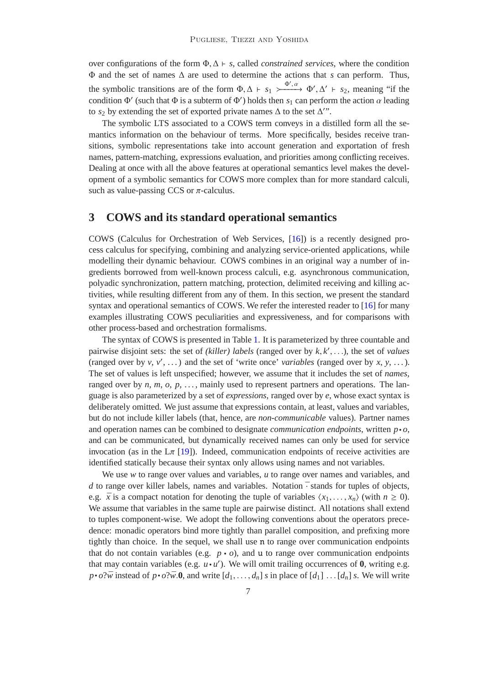over configurations of the form Φ, ∆ ⊢ *s*, called *constrained services*, where the condition Φ and the set of names ∆ are used to determine the actions that *s* can perform. Thus, the symbolic transitions are of the form  $\Phi$ ,  $\Delta \vdash s_1 \rightarrow^{\Phi', \alpha} \Phi', \Delta' \vdash s_2$ , meaning "if the condition  $\Phi'$  (such that  $\Phi$  is a subterm of  $\Phi'$ ) holds then  $s_1$  can perform the action  $\alpha$  leading to  $s_2$  by extending the set of exported private names  $\Delta$  to the set  $\Delta$ ".

The symbolic LTS associated to a COWS term conveys in a distilled form all the semantics information on the behaviour of terms. More specifically, besides receive transitions, symbolic representations take into account generation and exportation of fresh names, pattern-matching, expressions evaluation, and priorities among conflicting receives. Dealing at once with all the above features at operational semantics level makes the development of a symbolic semantics for COWS more complex than for more standard calculi, such as value-passing CCS or  $\pi$ -calculus.

## <span id="page-6-0"></span>**3 COWS and its standard operational semantics**

COWS (Calculus for Orchestration of Web Services, [\[16\]](#page-27-8)) is a recently designed process calculus for specifying, combining and analyzing service-oriented applications, while modelling their dynamic behaviour. COWS combines in an original way a number of ingredients borrowed from well-known process calculi, e.g. asynchronous communication, polyadic synchronization, pattern matching, protection, delimited receiving and killing activities, while resulting different from any of them. In this section, we present the standard syntax and operational semantics of COWS. We refer the interested reader to [\[16\]](#page-27-8) for many examples illustrating COWS peculiarities and expressiveness, and for comparisons with other process-based and orchestration formalisms.

The syntax of COWS is presented in Table [1.](#page-7-0) It is parameterized by three countable and pairwise disjoint sets: the set of *(killer) labels* (ranged over by *k*, *k* ′ , . . .), the set of *values* (ranged over by  $v, v', \ldots$ ) and the set of 'write once' *variables* (ranged over by  $x, y, \ldots$ ). The set of values is left unspecified; however, we assume that it includes the set of *names*, ranged over by *n*, *m*, *o*, *p*, . . . , mainly used to represent partners and operations. The language is also parameterized by a set of *expressions*, ranged over by *e*, whose exact syntax is deliberately omitted. We just assume that expressions contain, at least, values and variables, but do not include killer labels (that, hence, are *non-communicable* values). Partner names and operation names can be combined to designate *communication endpoints*, written *p*• *o*, and can be communicated, but dynamically received names can only be used for service invocation (as in the  $L\pi$  [\[19\]](#page-28-4)). Indeed, communication endpoints of receive activities are identified statically because their syntax only allows using names and not variables.

We use *w* to range over values and variables, *u* to range over names and variables, and *d* to range over killer labels, names and variables. Notation  $\overline{\cdot}$  stands for tuples of objects, e.g.  $\bar{x}$  is a compact notation for denoting the tuple of variables  $\langle x_1, \ldots, x_n \rangle$  (with  $n \ge 0$ ). We assume that variables in the same tuple are pairwise distinct. All notations shall extend to tuples component-wise. We adopt the following conventions about the operators precedence: monadic operators bind more tightly than parallel composition, and prefixing more tightly than choice. In the sequel, we shall use n to range over communication endpoints that do not contain variables (e.g.  $p \cdot o$ ), and u to range over communication endpoints that may contain variables (e.g.  $u \cdot u'$ ). We will omit trailing occurrences of  $0$ , writing e.g.  $p \cdot o$ ? $\bar{w}$  instead of  $p \cdot o$ ? $\bar{w}$ .**0**, and write  $[d_1, \ldots, d_n]$  *s* in place of  $[d_1] \ldots [d_n]$  *s*. We will write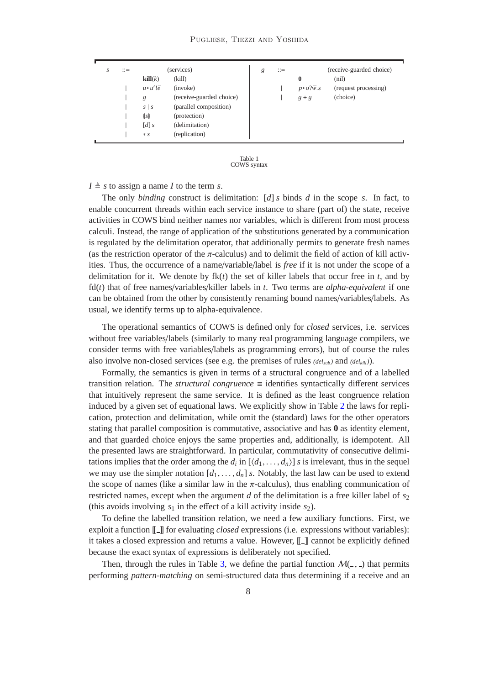| S | $\mathbb{R}^2 =$ |                               | (services)               | g | $::=$ |                        | (receive-guarded choice) |
|---|------------------|-------------------------------|--------------------------|---|-------|------------------------|--------------------------|
|   |                  | $\mathbf{kill}(k)$            | (kill)                   |   |       | $\bf{0}$               | (nil)                    |
|   |                  | $u \cdot u'$ ! $\overline{e}$ | (invoke)                 |   |       | $p \cdot o? \bar{w}.s$ | (request processing)     |
|   |                  | g                             | (receive-guarded choice) |   |       | $g+g$                  | (choice)                 |
|   |                  | $S \mid S$                    | (parallel composition)   |   |       |                        |                          |
|   |                  | $\{  s  \}$                   | (protection)             |   |       |                        |                          |
|   |                  | $[d]$ s                       | (delimitation)           |   |       |                        |                          |
|   |                  | $\ast$ $s$                    | (replication)            |   |       |                        |                          |

<span id="page-7-0"></span>Table 1 COWS syntax

 $I \triangleq s$  to assign a name *I* to the term *s*.

The only *binding* construct is delimitation: [*d*] *s* binds *d* in the scope *s*. In fact, to enable concurrent threads within each service instance to share (part of) the state, receive activities in COWS bind neither names nor variables, which is different from most process calculi. Instead, the range of application of the substitutions generated by a communication is regulated by the delimitation operator, that additionally permits to generate fresh names (as the restriction operator of the  $\pi$ -calculus) and to delimit the field of action of kill activities. Thus, the occurrence of a name/variable/label is *free* if it is not under the scope of a delimitation for it. We denote by fk(*t*) the set of killer labels that occur free in *t*, and by fd(*t*) that of free names/variables/killer labels in *t*. Two terms are *alpha-equivalent* if one can be obtained from the other by consistently renaming bound names/variables/labels. As usual, we identify terms up to alpha-equivalence.

The operational semantics of COWS is defined only for *closed* services, i.e. services without free variables/labels (similarly to many real programming language compilers, we consider terms with free variables/labels as programming errors), but of course the rules also involve non-closed services (see e.g. the premises of rules *(delsub )* and *(delkill)*).

Formally, the semantics is given in terms of a structural congruence and of a labelled transition relation. The *structural congruence* ≡ identifies syntactically different services that intuitively represent the same service. It is defined as the least congruence relation induced by a given set of equational laws. We explicitly show in Table [2](#page-8-0) the laws for replication, protection and delimitation, while omit the (standard) laws for the other operators stating that parallel composition is commutative, associative and has **0** as identity element, and that guarded choice enjoys the same properties and, additionally, is idempotent. All the presented laws are straightforward. In particular, commutativity of consecutive delimitations implies that the order among the  $d_i$  in  $\left[\langle d_1, \ldots, d_n \rangle\right]$  *s* is irrelevant, thus in the sequel we may use the simpler notation  $[d_1, \ldots, d_n]$  *s*. Notably, the last law can be used to extend the scope of names (like a similar law in the  $\pi$ -calculus), thus enabling communication of restricted names, except when the argument *d* of the delimitation is a free killer label of  $s<sub>2</sub>$ (this avoids involving  $s_1$  in the effect of a kill activity inside  $s_2$ ).

To define the labelled transition relation, we need a few auxiliary functions. First, we exploit a function  $\llbracket \cdot \rrbracket$  for evaluating *closed* expressions (i.e. expressions without variables): it takes a closed expression and returns a value. However,  $[\![ \_ \ ]\!]$  cannot be explicitly defined because the exact syntax of expressions is deliberately not specified.

Then, through the rules in Table [3,](#page-8-1) we define the partial function  $M(\_ ,\_ )$  that permits performing *pattern-matching* on semi-structured data thus determining if a receive and an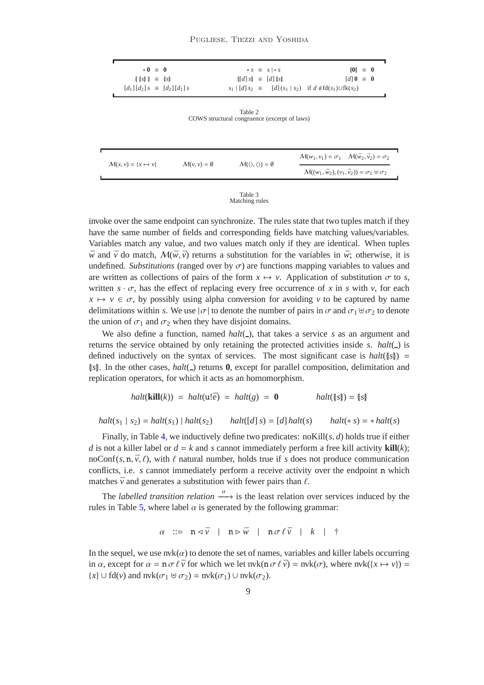| $\ast 0 = 0$                                                                                                      |                                 |                                                             | $\ast s \equiv s \mid \ast s$ |                                                                      | $ 0  = 0$<br>$[d] 0 = 0$ |  |
|-------------------------------------------------------------------------------------------------------------------|---------------------------------|-------------------------------------------------------------|-------------------------------|----------------------------------------------------------------------|--------------------------|--|
| $\{ [s] \}$ = $\{s\}$<br>$\lceil d_1 \rceil \lceil d_2 \rceil$ $s \equiv \lceil d_2 \rceil \lceil d_1 \rceil$ $s$ |                                 | $\{[d] s\} \equiv [d] \{s\}$                                |                               | $s_1   [d] s_2 = [d] (s_1   s_2)$ if $d \notin fd(s_1) \cup fk(s_2)$ |                          |  |
|                                                                                                                   |                                 | Table 2                                                     |                               |                                                                      |                          |  |
|                                                                                                                   |                                 | COWS structural congruence (excerpt of laws)                |                               |                                                                      |                          |  |
|                                                                                                                   |                                 |                                                             |                               |                                                                      |                          |  |
| $\mathcal{M}(x, y) = \{x \mapsto y\}$                                                                             | $\mathcal{M}(v, v) = \emptyset$ | $\mathcal{M}(\langle \rangle, \langle \rangle) = \emptyset$ |                               | $M(w_1, v_1) = \sigma_1$ $M(\bar{w}_2, \bar{v}_2) = \sigma_2$        |                          |  |

<span id="page-8-1"></span><span id="page-8-0"></span>

invoke over the same endpoint can synchronize. The rules state that two tuples match if they have the same number of fields and corresponding fields have matching values/variables. Variables match any value, and two values match only if they are identical. When tuples  $\bar{w}$  and  $\bar{v}$  do match,  $\mathcal{M}(\bar{w}, \bar{v})$  returns a substitution for the variables in  $\bar{w}$ ; otherwise, it is undefined. *Substitutions* (ranged over by  $\sigma$ ) are functions mapping variables to values and are written as collections of pairs of the form  $x \mapsto v$ . Application of substitution  $\sigma$  to *s*, written  $s \cdot \sigma$ , has the effect of replacing every free occurrence of x in s with v, for each  $x \mapsto v \in \sigma$ , by possibly using alpha conversion for avoiding *v* to be captured by name delimitations within *s*. We use  $|\sigma|$  to denote the number of pairs in  $\sigma$  and  $\sigma_1 \oplus \sigma_2$  to denote the union of  $\sigma_1$  and  $\sigma_2$  when they have disjoint domains.

We also define a function, named *halt*( $\Box$ ), that takes a service *s* as an argument and returns the service obtained by only retaining the protected activities inside *s*. *halt*( ) is defined inductively on the syntax of services. The most significant case is  $halt({\s}|\})$  = {|*s*|}. In the other cases, *halt*( ) returns **0**, except for parallel composition, delimitation and replication operators, for which it acts as an homomorphism.

$$
halt(\mathbf{kill}(k)) = halt(u!\overline{e}) = halt(g) = 0 \qquad halt(\lbrace s \rbrace) = \lbrace s \rbrace
$$

$$
halt(s_1 \mid s_2) = halt(s_1) \mid halt(s_2) \qquad halt([d] \mid s) = [d] \mid halt(s) \qquad halt(* \mid s) = * \mid halt(s)
$$

Finally, in Table [4,](#page-9-0) we inductively define two predicates: noKill(*s*, *d*) holds true if either *d* is not a killer label or  $d = k$  and *s* cannot immediately perform a free kill activity **kill**(*k*); noConf( $s, n, \overline{v}, \ell$ ), with  $\ell$  natural number, holds true if *s* does not produce communication conflicts, i.e. *s* cannot immediately perform a receive activity over the endpoint n which matches  $\bar{v}$  and generates a substitution with fewer pairs than  $\ell$ .

The *labelled transition relation*  $\xrightarrow{\alpha}$  is the least relation over services induced by the rules in Table [5,](#page-9-1) where label  $\alpha$  is generated by the following grammar:

 $\alpha$  ::=  $\mathbf{n} \triangleleft \overline{v}$  |  $\mathbf{n} \triangleright \overline{w}$  |  $\mathbf{n} \sigma \ell \overline{v}$  |  $k$  | †

In the sequel, we use  $n\nu k(\alpha)$  to denote the set of names, variables and killer labels occurring in  $\alpha$ , except for  $\alpha = n \sigma \ell \bar{\nu}$  for which we let  $n \nu k(n \sigma \ell \bar{\nu}) = n \nu k(\sigma)$ , where  $n \nu k({x \mapsto \nu}) =$  ${x} \cup f d(v)$  and  $nvk(\sigma_1 \uplus \sigma_2) = nvk(\sigma_1) \cup nvk(\sigma_2)$ .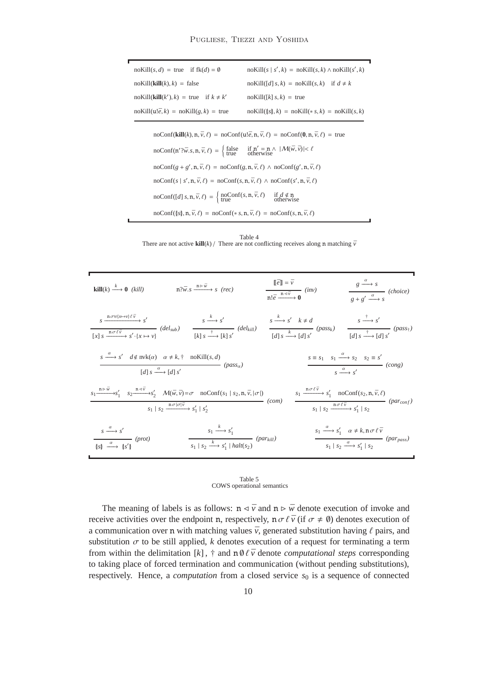| $noKill(s, d) = true$ if $fk(d) = \emptyset$                                                                                                                                                       | $\text{noKill}(s \mid s', k) = \text{noKill}(s, k) \land \text{noKill}(s', k)$                                                                                                                                 |  |  |  |  |
|----------------------------------------------------------------------------------------------------------------------------------------------------------------------------------------------------|----------------------------------------------------------------------------------------------------------------------------------------------------------------------------------------------------------------|--|--|--|--|
| $noKill(kill(k), k) = false$                                                                                                                                                                       | $\text{noKill}([d] s, k) = \text{noKill}(s, k)$ if $d \neq k$                                                                                                                                                  |  |  |  |  |
| $noKill(kill(k'), k) = true$ if $k \neq k'$                                                                                                                                                        | $\text{noKill}([k], s, k) = \text{true}$                                                                                                                                                                       |  |  |  |  |
| $noKill(u!\bar{e},k) = noKill(g,k) = true$                                                                                                                                                         | $noKill({s},k) = noKill(*s,k) = noKill(s,k)$                                                                                                                                                                   |  |  |  |  |
|                                                                                                                                                                                                    | $\mathrm{noConf}(\textbf{kill}(k), \textbf{n}, \overline{v}, \ell) = \mathrm{noConf}(u \cdot \overline{e}, \textbf{n}, \overline{v}, \ell) = \mathrm{noConf}(0, \textbf{n}, \overline{v}, \ell) = \text{true}$ |  |  |  |  |
| $\text{noConf}(n' \gamma \bar{w}.s, n, \bar{v}, \ell) = \begin{cases} \text{false} & \text{if } n' = n \land  M(\bar{w}, \bar{v})  < \ell \\ \text{true} & \text{otherwise} \end{cases}$           |                                                                                                                                                                                                                |  |  |  |  |
| $\operatorname{noConf}(g + g', \mathbf{n}, \overline{v}, \ell) = \operatorname{noConf}(g, \mathbf{n}, \overline{v}, \ell) \land \operatorname{noConf}(g', \mathbf{n}, \overline{v}, \ell)$         |                                                                                                                                                                                                                |  |  |  |  |
| $\operatorname{noConf}(s \mid s', n, \overline{v}, \ell) = \operatorname{noConf}(s, n, \overline{v}, \ell) \land \operatorname{noConf}(s', n, \overline{v}, \ell)$                                 |                                                                                                                                                                                                                |  |  |  |  |
| $\operatorname{noConf}([d] \, s, n, \bar{v}, \ell) = \begin{cases} \n\operatorname{noConf}(s, n, \bar{v}, \ell) & \text{if } d \notin n \\ \n\operatorname{true} & \text{otherwise} \n\end{cases}$ |                                                                                                                                                                                                                |  |  |  |  |
| $\operatorname{noConf}(\{s\}, n, \overline{v}, \ell) = \operatorname{noConf}(*s, n, \overline{v}, \ell) = \operatorname{noConf}(s, n, \overline{v}, \ell)$                                         |                                                                                                                                                                                                                |  |  |  |  |

<span id="page-9-0"></span>Table 4 There are not active **kill**(*k*) / There are not conflicting receives along n matching  $\bar{v}$ 

|                                                                                                                                                                    | <b>kill</b> $(k) \xrightarrow{k} 0$ $(kill)$ $n? \overline{w}.s \xrightarrow{n \triangleright \overline{w}} s$ $(rec)$                                                                                                                                                                                                                                                                                                                                                  | $\ \bar{e}\  = \bar{v}$<br>$n! \overline{e} \xrightarrow{n \triangleleft \overline{\nu}} 0$ (inv)              | $g \xrightarrow{\alpha} s$<br>$\frac{a}{g+g' \xrightarrow{\alpha} s}$ (choice)                                                                                                   |
|--------------------------------------------------------------------------------------------------------------------------------------------------------------------|-------------------------------------------------------------------------------------------------------------------------------------------------------------------------------------------------------------------------------------------------------------------------------------------------------------------------------------------------------------------------------------------------------------------------------------------------------------------------|----------------------------------------------------------------------------------------------------------------|----------------------------------------------------------------------------------------------------------------------------------------------------------------------------------|
|                                                                                                                                                                    | $s \xrightarrow{n \sigma \uplus \{x \mapsto v\} \ell \bar{v}} s'$ $s \xrightarrow{k} s'$ $s \xrightarrow{k} s'$ $k \neq d$<br>$\frac{\pi \sigma \ell \bar{v}}{[x] s \xrightarrow{\pi \sigma \ell \bar{v}} s' \cdot \{x \mapsto v\}}$ $\frac{(del_{sub})}{[k] s \xrightarrow{\dagger} [k] s'}$ $\frac{(del_{kill})}{[d] s \xrightarrow{k} [d] s'}$ $\frac{(pass_k)}{[d] s \xrightarrow{\dagger} [d] s'}$ $\frac{(pass_{\uparrow})}{[d] s' \xrightarrow{\dagger} [d] s'}$ |                                                                                                                | $s \xrightarrow{\dagger} s'$                                                                                                                                                     |
| $s \xrightarrow{\alpha} s'$ $d \notin \text{nvk}(\alpha)$ $\alpha \neq k, \dagger \text{ noKill}(s, d)$<br>$\left[d\right]s \xrightarrow{\alpha} \left[d\right]s'$ | $\overline{\qquad \qquad (pass_{\alpha})}$                                                                                                                                                                                                                                                                                                                                                                                                                              |                                                                                                                | $s \equiv s_1 \quad s_1 \stackrel{\alpha}{\longrightarrow} s_2 \quad s_2 \equiv s'$<br>$rac{\alpha}{\alpha \longrightarrow s'}$ (cong)                                           |
|                                                                                                                                                                    | $s_1 \xrightarrow{n \triangleright \overline{w}} s'_1$ $s_2 \xrightarrow{n \triangleleft \overline{v}} s'_2$ $\mathcal{M}(\overline{w}, \overline{v}) = \sigma$ $\text{noConf}(s_1   s_2, n, \overline{v},  \sigma )$<br>$\overline{\hspace{1cm}}$ (com)<br>$s_1   s_2 \xrightarrow{n \sigma  \sigma \bar{v}} s'_1   s'_2$                                                                                                                                              | $s_1 \xrightarrow{\mathbf{n}\sigma\ell\bar{\nu}} s'_1$ noConf(s <sub>2</sub> , $\mathbf{n}, \bar{\nu}, \ell$ ) | $s_1 \mid s_2 \xrightarrow{\texttt{nc}\ell\bar{\nu}} s_1' \mid s_2 \qquad (par_{conf})$                                                                                          |
| $s \xrightarrow{\alpha} s'$<br>$\left\{  s  \right\} \longrightarrow \left\{  s'  \right\}$ (prot)                                                                 | $s_1 \xrightarrow{k} s'_1$<br>$s_1   s_2 \longrightarrow s'_1   halt(s_2)$ (par <sub>kill</sub> )                                                                                                                                                                                                                                                                                                                                                                       |                                                                                                                | $s_1 \xrightarrow{\alpha} s'_1 \quad \alpha \neq k, n \sigma \ell \bar{\nu}$<br>$\begin{array}{c}\n\hline\n s_1   s_2 \xrightarrow{\alpha} s_1'   s_2\n\end{array} (par_{pass})$ |

#### <span id="page-9-1"></span>Table 5 COWS operational semantics

The meaning of labels is as follows:  $n \leq \bar{v}$  and  $n \geq \bar{w}$  denote execution of invoke and receive activities over the endpoint n, respectively,  $n \sigma \ell \bar{\nu}$  (if  $\sigma \neq \emptyset$ ) denotes execution of a communication over n with matching values  $\bar{v}$ , generated substitution having  $\ell$  pairs, and substitution  $\sigma$  to be still applied, *k* denotes execution of a request for terminating a term from within the delimitation  $[k]$ ,  $\dagger$  and  $\mathbf{n} \theta \ell \bar{v}$  denote *computational steps* corresponding to taking place of forced termination and communication (without pending substitutions), respectively. Hence, a *computation* from a closed service  $s_0$  is a sequence of connected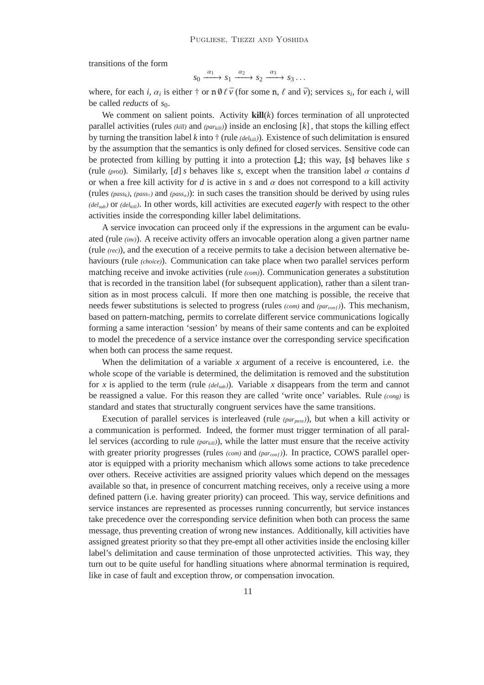transitions of the form

$$
s_0 \xrightarrow{\alpha_1} s_1 \xrightarrow{\alpha_2} s_2 \xrightarrow{\alpha_3} s_3 \dots
$$

where, for each *i*,  $\alpha_i$  is either  $\dagger$  or  $\ln \theta \ell \bar{\nu}$  (for some  $\pi$ ,  $\ell$  and  $\bar{\nu}$ ); services  $s_i$ , for each *i*, will be called *reducts* of *s*0.

We comment on salient points. Activity  $\textbf{kill}(k)$  forces termination of all unprotected parallel activities (rules  $(kil)$ ) and  $(par_{kil})$  inside an enclosing  $[k]$ , that stops the killing effect by turning the transition label *k* into † (rule *(delkill)*). Existence of such delimitation is ensured by the assumption that the semantics is only defined for closed services. Sensitive code can be protected from killing by putting it into a protection {| |}; this way, {|*s*|} behaves like *s* (rule *(prot)*). Similarly, [*d*] *s* behaves like *s*, except when the transition label α contains *d* or when a free kill activity for  $d$  is active in  $s$  and  $\alpha$  does not correspond to a kill activity (rules  $(pass_k)$ ,  $(pass_{\tau})$  and  $(pass_{\tau})$ ): in such cases the transition should be derived by using rules *(delsub)* or *(delkill)*. In other words, kill activities are executed *eagerly* with respect to the other activities inside the corresponding killer label delimitations.

A service invocation can proceed only if the expressions in the argument can be evaluated (rule *(inv)*). A receive activity offers an invocable operation along a given partner name (rule *(rec)*), and the execution of a receive permits to take a decision between alternative behaviours (rule *(choice)*). Communication can take place when two parallel services perform matching receive and invoke activities (rule *(com)*). Communication generates a substitution that is recorded in the transition label (for subsequent application), rather than a silent transition as in most process calculi. If more then one matching is possible, the receive that needs fewer substitutions is selected to progress (rules *(com)* and *(par<sub>conf</sub>)*). This mechanism, based on pattern-matching, permits to correlate different service communications logically forming a same interaction 'session' by means of their same contents and can be exploited to model the precedence of a service instance over the corresponding service specification when both can process the same request.

When the delimitation of a variable *x* argument of a receive is encountered, i.e. the whole scope of the variable is determined, the delimitation is removed and the substitution for *x* is applied to the term (rule  $(d_{elsub})$ ). Variable *x* disappears from the term and cannot be reassigned a value. For this reason they are called 'write once' variables. Rule *(cong)* is standard and states that structurally congruent services have the same transitions.

Execution of parallel services is interleaved (rule *(parpass)*), but when a kill activity or a communication is performed. Indeed, the former must trigger termination of all parallel services (according to rule *(parkill)*), while the latter must ensure that the receive activity with greater priority progresses (rules *(com)* and *(par<sub>conf</sub>)*). In practice, COWS parallel operator is equipped with a priority mechanism which allows some actions to take precedence over others. Receive activities are assigned priority values which depend on the messages available so that, in presence of concurrent matching receives, only a receive using a more defined pattern (i.e. having greater priority) can proceed. This way, service definitions and service instances are represented as processes running concurrently, but service instances take precedence over the corresponding service definition when both can process the same message, thus preventing creation of wrong new instances. Additionally, kill activities have assigned greatest priority so that they pre-empt all other activities inside the enclosing killer label's delimitation and cause termination of those unprotected activities. This way, they turn out to be quite useful for handling situations where abnormal termination is required, like in case of fault and exception throw, or compensation invocation.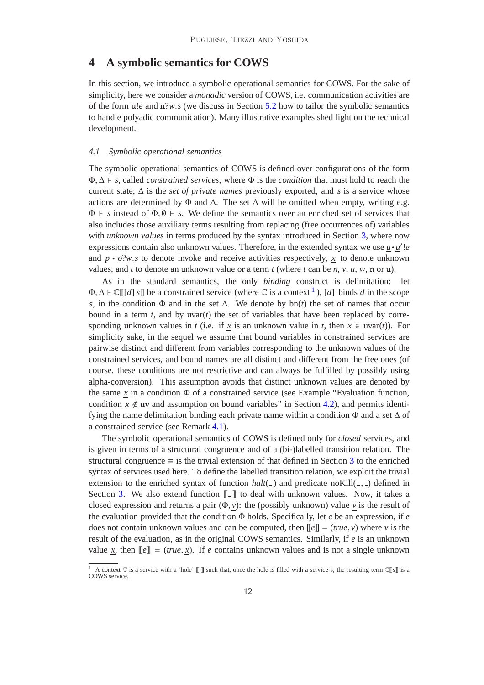## <span id="page-11-1"></span>**4 A symbolic semantics for COWS**

In this section, we introduce a symbolic operational semantics for COWS. For the sake of simplicity, here we consider a *monadic* version of COWS, i.e. communication activities are of the form u!*e* and n?*w*.*s* (we discuss in Section [5.2](#page-23-0) how to tailor the symbolic semantics to handle polyadic communication). Many illustrative examples shed light on the technical development.

### *4.1 Symbolic operational semantics*

The symbolic operational semantics of COWS is defined over configurations of the form Φ, ∆ ⊢ *s*, called *constrained services*, where Φ is the *condition* that must hold to reach the current state, ∆ is the *set of private names* previously exported, and *s* is a service whose actions are determined by  $\Phi$  and  $\Delta$ . The set  $\Delta$  will be omitted when empty, writing e.g. Φ ⊢ *s* instead of Φ, ∅ ⊢ *s*. We define the semantics over an enriched set of services that also includes those auxiliary terms resulting from replacing (free occurrences of) variables with *unknown values* in terms produced by the syntax introduced in Section [3,](#page-6-0) where now expressions contain also unknown values. Therefore, in the extended syntax we use  $u \cdot u'$  !*e* and  $p \cdot o?w.s$  to denote invoke and receive activities respectively,  $\dot{x}$  to denote unknown values, and *t* to denote an unknown value or a term *t* (where *t* can be *n*, *v*, *u*, *w*, n or u).

<span id="page-11-0"></span>As in the standard semantics, the only *binding* construct is delimitation: let  $\Phi$ ,  $\Delta \vdash \mathbb{C}[[d] \, s]]$  be a constrained service (where  $\mathbb{C}$  is a context <sup>[1](#page-11-2)</sup>), [*d*] binds *d* in the scope *s*, in the condition  $\Phi$  and in the set  $\Delta$ . We denote by bn(*t*) the set of names that occur bound in a term  $t$ , and by uvar $(t)$  the set of variables that have been replaced by corresponding unknown values in *t* (i.e. if *x* is an unknown value in *t*, then  $x \in uvar(t)$ ). For simplicity sake, in the sequel we assume that bound variables in constrained services are pairwise distinct and different from variables corresponding to the unknown values of the constrained services, and bound names are all distinct and different from the free ones (of course, these conditions are not restrictive and can always be fulfilled by possibly using alpha-conversion). This assumption avoids that distinct unknown values are denoted by the same  $x$  in a condition  $\Phi$  of a constrained service (see Example "Evaluation function, condition  $x \notin \mathbf{uv}$  and assumption on bound variables" in Section [4.2\)](#page-18-0), and permits identifying the name delimitation binding each private name within a condition  $\Phi$  and a set  $\Delta$  of a constrained service (see Remark [4.1\)](#page-16-0).

The symbolic operational semantics of COWS is defined only for *closed* services, and is given in terms of a structural congruence and of a (bi-)labelled transition relation. The structural congruence  $\equiv$  is the trivial extension of that defined in Section [3](#page-6-0) to the enriched syntax of services used here. To define the labelled transition relation, we exploit the trivial extension to the enriched syntax of function  $halt(\_)$  and predicate noKill( $\_)$ ) defined in Section [3.](#page-6-0) We also extend function  $\llbracket \_ \ \rrbracket$  to deal with unknown values. Now, it takes a closed expression and returns a pair  $(\Phi, v)$ : the (possibly unknown) value *v* is the result of the evaluation provided that the condition Φ holds. Specifically, let *e* be an expression, if *e* does not contain unknown values and can be computed, then  $\llbracket e \rrbracket = (true, v)$  where *v* is the result of the evaluation, as in the original COWS semantics. Similarly, if *e* is an unknown value *x*, then  $\llbracket e \rrbracket = (true, x)$ . If *e* contains unknown values and is not a single unknown

<span id="page-11-2"></span>A context  $\mathbb C$  is a service with a 'hole'  $\llbracket \cdot \rrbracket$  such that, once the hole is filled with a service *s*, the resulting term  $\mathbb C[\llbracket s \rrbracket$  is a COWS service.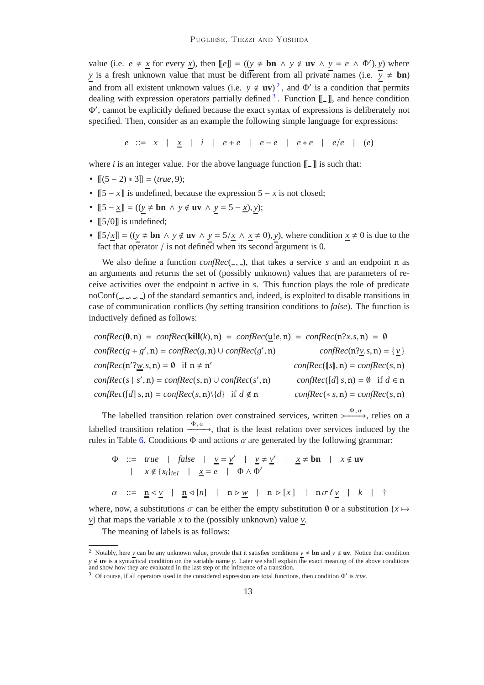value (i.e.  $e \neq x$  for every x), then  $[[e]] = ((y \neq \mathbf{bn} \land y \notin \mathbf{uv} \land y = e \land \Phi'), y)$  where *y* is a fresh unknown value that must be different from all private names (i.e.  $\overline{y} \neq$  **bn**) and from all existent unknown values (i.e.  $y \notin uv$ )<sup>[2](#page-12-0)</sup>, and  $\Phi'$  is a condition that permits dealing with expression operators partially defined  $3$ . Function  $[\![ \_ \ ]\!]$ , and hence condition Φ′ , cannot be explicitly defined because the exact syntax of expressions is deliberately not specified. Then, consider as an example the following simple language for expressions:

*e* ::= *x* | *x* | *i* | *e* + *e* | *e* − *e* | *e* ∗ *e* | *e*/*e* | (*e*)

where *i* is an integer value. For the above language function  $\llbracket \cdot \rrbracket$  is such that:

- [[(5 − 2) ∗ 3]] = (*true*, 9);
- $[5 x]$  is undefined, because the expression  $5 x$  is not closed;
- $[5 x] = ((y \neq bn \land y \notin uv \land y = 5 x), y);$
- $\llbracket 5/0 \rrbracket$  is undefined;
- $[[5/\chi]] = ((y \neq bn \land y \notin uv \land y = 5/\chi \land x \neq 0), y)$ , where condition  $x \neq 0$  is due to the fact that operator / is not defined when its second argument is 0.

We also define a function  $confRec($ ,  $)$ , that takes a service *s* and an endpoint **n** as an arguments and returns the set of (possibly unknown) values that are parameters of receive activities over the endpoint n active in *s*. This function plays the role of predicate  $nOConf($ , , , , ) of the standard semantics and, indeed, is exploited to disable transitions in case of communication conflicts (by setting transition conditions to *false*). The function is inductively defined as follows:

$$
confRec(0, n) = confRec(kill(k), n) = confRec(u!e, n) = confRec(n?x.s, n) = 0
$$
  
\n
$$
confRec(g + g', n) = confRec(g, n) \cup confRec(g', n) \qquad confRec(n?y.s, n) = \{y\}
$$
  
\n
$$
confRec(n?y.s, n) = 0 \text{ if } n \neq n' \qquad confRec(\$s\}, n) = confRec(s, n)
$$
  
\n
$$
confRec(s | s', n) = confRec(s, n) \cup confRec(s', n) \qquad confRec([d] s, n) = 0 \text{ if } d \in n
$$
  
\n
$$
confRec([d] s, n) = confRec(s, n) \setminus \{d\} \text{ if } d \notin n \qquad confRec(* s, n) = confRec(s, n)
$$

The labelled transition relation over constrained services, written  $\rightarrow \rightarrow$ , relies on a labelled transition relation  $\xrightarrow{\Phi, \alpha}$ , that is the least relation over services induced by the rules in Table [6.](#page-13-0) Conditions  $\Phi$  and actions  $\alpha$  are generated by the following grammar:

$$
\Phi ::= true \mid false \mid \underline{v} = \underline{v'} \mid \underline{v} \neq \underline{v'} \mid \underline{x} \neq \mathbf{bn} \mid x \notin \mathbf{uv}
$$
\n
$$
= x \notin \{x_i\}_{i \in I} \mid \underline{x} = e \mid \Phi \wedge \Phi'
$$
\n
$$
\alpha ::= \underline{n} \triangleleft \underline{v} \mid \underline{n} \triangleq [n] \mid n \triangleright \underline{w} \mid n \triangleright [x] \mid n \sigma \ell \underline{v} \mid k \mid \dagger
$$

where, now, a substitutions  $\sigma$  can be either the empty substitution  $\emptyset$  or a substitution  $\{x \mapsto$  $\nu$ } that maps the variable *x* to the (possibly unknown) value  $\nu$ .

The meaning of labels is as follows:

<span id="page-12-0"></span><sup>&</sup>lt;sup>2</sup> Notably, here *y* can be any unknown value, provide that it satisfies conditions  $y \neq$  **bn** and  $y \notin$  **uv**. Notice that condition  $y \notin$  **uv** is a syntactical condition on the variable name *y*. Later we shall explain the exact meaning of the above conditions and show how they are evaluated in the last step of the inference of a transition.

<span id="page-12-1"></span><sup>3</sup> Of course, if all operators used in the considered expression are total functions, then condition Φ ′ is *true*.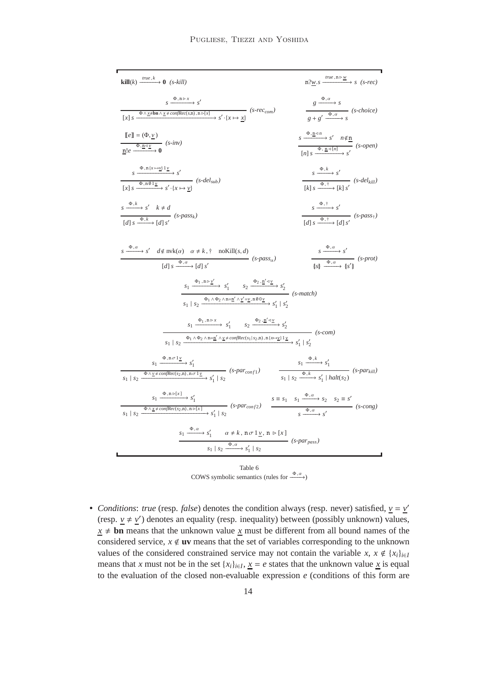| <b>kill</b> ( <i>k</i> ) $\xrightarrow{true, k} 0$ ( <i>s-kill</i> )                                                                                                                                                                                                                                                                                                                                                                                                                                                                    | $n?w.s \xrightarrow{true, n \triangleright w} s (s-rec)$                                                                                                                                 |
|-----------------------------------------------------------------------------------------------------------------------------------------------------------------------------------------------------------------------------------------------------------------------------------------------------------------------------------------------------------------------------------------------------------------------------------------------------------------------------------------------------------------------------------------|------------------------------------------------------------------------------------------------------------------------------------------------------------------------------------------|
| $s \xrightarrow{\Phi, n \triangleright x} s'$<br>$[x]\;s \xrightarrow{\ \Phi \wedge \underline{x} \neq \textit{bn} \wedge \underline{x} \neq \textit{confRec}(s, n), n \rhd [x]} \!\!\!\!\!\!\! s' \cdot \{x \mapsto \underline{x}\} \xrightarrow{\ \textit{fs-rec}_{com}\ \textit{b}}$                                                                                                                                                                                                                                                 | $\frac{g \xrightarrow{\Phi, \alpha} s}{g + g' \xrightarrow{\Phi, \alpha} s}$ (s-choice)                                                                                                  |
| $[\![ e ]\!] = (\Phi, \underline{v} \,)$<br>$\frac{\Phi, \underline{n} \triangleleft \underline{v}}{\Phi \cdot \underline{n} \longrightarrow 0}$ (s-inv)                                                                                                                                                                                                                                                                                                                                                                                | $s \xrightarrow{\Phi, \underline{n} \triangleleft n} s' \quad n \notin \underline{n}$<br>$\overline{\left[n\right] s \xrightarrow{\Phi, \underline{n} \triangleleft \{n\}} s'}$ (s-open) |
| $s \xrightarrow{\Phi, n \{x \mapsto y\} \underline{1y}} s'$<br>$[x] \qquad s \xrightarrow{\Phi, n \emptyset 1_{\underline{v}}} s' \cdot \{x \mapsto v\} \qquad (s\text{-}del_{sub})$                                                                                                                                                                                                                                                                                                                                                    | $s \xrightarrow{\Phi, k} s'$<br>$\overline{[k] \ s \xrightarrow{\Phi, \dagger} [k] \ s'}$ (s-del <sub>kill</sub> )                                                                       |
| $\begin{split} \frac{s\xrightarrow{\Phi,k} s'\quad k\neq d}{[d]\:s\xrightarrow{\Phi,k} [d]\:s'} \:\: (s\text{-}pass_k) \end{split}$                                                                                                                                                                                                                                                                                                                                                                                                     | $s \xrightarrow{\Phi, \dagger} s'$<br>$\overline{\left[d\right]s \xrightarrow{\Phi, \dagger} \left[d\right]s'}$ $(s\text{-}pass_{\dagger})$                                              |
| $s \xrightarrow{\Phi, \alpha} s'$ $d \notin \text{nvk}(\alpha)$ $\alpha \neq k, \dagger \text{ noKill}(s, d)$<br>$\longrightarrow$ (s-pass <sub>a</sub> )<br>$\left[d\right]s \xrightarrow{\Phi,\alpha} \left[d\right]s'$                                                                                                                                                                                                                                                                                                               | $\frac{s \xrightarrow{\Phi, \alpha} s'}{\ s\  \xrightarrow{\Phi, \alpha} \ s'\ } (s\text{-prot})$                                                                                        |
| $s_1 \xrightarrow{\Phi_1, n \rhd \underline{v'}} s'_1 \xrightarrow{\qquad s_2 \xrightarrow{\qquad \Phi_2, \underline{n'} \lhd \underline{v}} s'_2} (s\text{-}match)$<br>$s_1   s_2 \xrightarrow{\Phi_1 \wedge \Phi_2 \wedge n = \underline{n}' \wedge \underline{v}' = \underline{v}, n \emptyset \vee \underline{v}} s'_1   s'_2$                                                                                                                                                                                                      |                                                                                                                                                                                          |
| $s_1 \xrightarrow{\Phi_1, n \rhd x} s'_1$ $s_2 \xrightarrow{\Phi_2, \underline{n}' \lhd \underline{v}} s'_2$ (s-com)<br>$s_1   s_2 \xrightarrow{\Phi_1 \wedge \Phi_2 \wedge \mathbf{n} = \underline{\mathbf{n}}' \wedge \underline{\mathbf{v}} \neq \text{confRec}(s_1   s_2, \mathbf{n}), \mathbf{n} \{x \mapsto \underline{\mathbf{v}}\} \perp \underline{\mathbf{v}}$                                                                                                                                                                |                                                                                                                                                                                          |
| $s_1 \xrightarrow{\Phi, n \sigma 1 \underline{v}} s'_1$<br>$\begin{array}{ccccc}&&s_1\stackrel{\Phi,\mathfrak{n}\sigma1\underline{\nu}}{\longrightarrow}s'_1&&\\ &s_1\mid s_2\stackrel{\Phi\wedge\underline{\nu}\neq confRec(s_2,\mathfrak{n}),\mathfrak{n}\sigma1\underline{\nu}}{\longrightarrow}s'_1\mid s_2&\begin{array}{ccccc} &s_1\stackrel{\Phi,k}{\longrightarrow}s'_1\\ & &s_1\mid s_2\stackrel{\Phi,k}{\longrightarrow}s'_1\mid half(s_2)\\ \end{array} &\begin{array}{ccccc}(s\mbox{-}part_{kil})\end{array}\\ \end{array}$ |                                                                                                                                                                                          |
| $s_1 \xrightarrow{\text{for } s_1} s'_1$<br>$\longrightarrow s'_1$ $\longrightarrow s'_1 \mid s_2$ $(s\text{-}par_{conf2})$ $\xrightarrow{s \equiv s_1 \ s_1 \xrightarrow{\Phi, \alpha} s_2 \ s_2 \equiv s' \ s' \xrightarrow{\text{for } s_1} (s\text{-}cong)$<br>$s_1 \mid s_2$                                                                                                                                                                                                                                                       |                                                                                                                                                                                          |
| $s_1 \xrightarrow{\Phi, \alpha} s'_1 \xrightarrow{\alpha \neq k, n \sigma 1 \underline{v}, n \rhd [x]} (s \text{-}par_{pass})$<br>$s_1   s_2 \xrightarrow{\Phi, \alpha} s'_1   s_2$                                                                                                                                                                                                                                                                                                                                                     |                                                                                                                                                                                          |
| Table 6                                                                                                                                                                                                                                                                                                                                                                                                                                                                                                                                 |                                                                                                                                                                                          |

<span id="page-13-0"></span>COWS symbolic semantics (rules for  $\xrightarrow{\Phi, \alpha}$ )

• *Conditions: true* (resp. *false*) denotes the condition always (resp. never) satisfied,  $v = v'$ (resp.  $\underline{v} \neq \underline{v}'$ ) denotes an equality (resp. inequality) between (possibly unknown) values,  $x \neq$  **bn** means that the unknown value *x* must be different from all bound names of the considered service,  $x \notin uv$  means that the set of variables corresponding to the unknown values of the considered constrained service may not contain the variable *x*,  $x \notin \{x_i\}_{i \in I}$ means that *x* must not be in the set  $\{x_i\}_{i \in I}$ ,  $\underline{x} = e$  states that the unknown value  $\underline{x}$  is equal to the evaluation of the closed non-evaluable expression *e* (conditions of this form are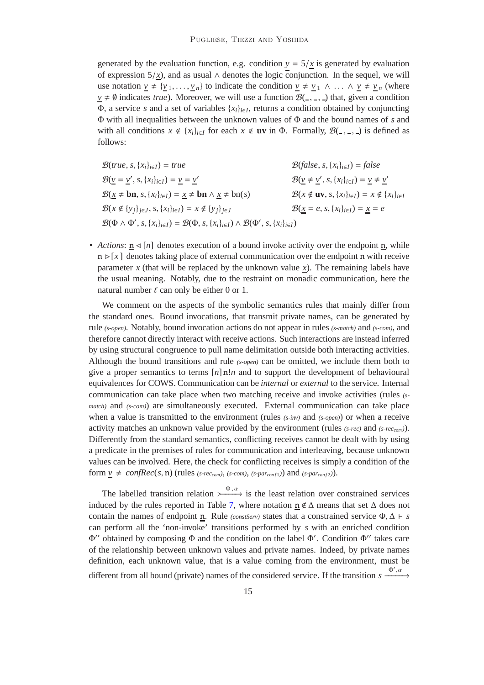generated by the evaluation function, e.g. condition  $y = \frac{5}{x}$  is generated by evaluation of expression  $5/\chi$ ), and as usual  $\land$  denotes the logic conjunction. In the sequel, we will use notation  $\underline{v} \neq {\underline{v}_1, \dots, \underline{v}_n}$  to indicate the condition  $\underline{v} \neq \underline{v}_1 \land \dots \land \underline{v} \neq \underline{v}_n$  (where  $v \neq \emptyset$  indicates *true*). Moreover, we will use a function  $\mathcal{B}(\_,\_,\_)$  that, given a condition  $\Phi$ , a service *s* and a set of variables  $\{x_i\}_{i \in I}$ , returns a condition obtained by conjuncting Φ with all inequalities between the unknown values of Φ and the bound names of *s* and with all conditions  $x \notin \{x_i\}_{i \in I}$  for each  $x \notin uv$  in  $\Phi$ . Formally,  $\mathcal{B}(\_,\_,\_)$  is defined as follows:

$$
\mathcal{B}(true, s, \{x_i\}_{i \in I}) = true
$$
\n
$$
\mathcal{B}(\underline{v} = \underline{v}', s, \{x_i\}_{i \in I}) = \underline{v} = \underline{v}'
$$
\n
$$
\mathcal{B}(\underline{v} \neq \underline{v}', s, \{x_i\}_{i \in I}) = \underline{v} = \underline{v}'
$$
\n
$$
\mathcal{B}(\underline{x} \neq \mathbf{bn}, s, \{x_i\}_{i \in I}) = \underline{x} \neq \mathbf{bn} \land \underline{x} \neq \mathbf{bn}(s)
$$
\n
$$
\mathcal{B}(x \notin \{y_j\}_{j \in J}, s, \{x_i\}_{i \in I}) = x \notin \{y_j\}_{j \in J}
$$
\n
$$
\mathcal{B}(x \notin \mathbf{uv}, s, \{x_i\}_{i \in I}) = x \notin \{x_i\}_{i \in I}
$$
\n
$$
\mathcal{B}(\mathbf{v} \land \mathbf{v}', s, \{x_i\}_{i \in I}) = \mathcal{B}(\mathbf{0}, s, \{x_i\}_{i \in I}) \land \mathcal{B}(\mathbf{0}', s, \{x_i\}_{i \in I})
$$

• *Actions*:  $n \leq [n]$  denotes execution of a bound invoke activity over the endpoint n, while  $n \geq x$  ] denotes taking place of external communication over the endpoint n with receive parameter  $x$  (that will be replaced by the unknown value  $x$ ). The remaining labels have the usual meaning. Notably, due to the restraint on monadic communication, here the natural number  $\ell$  can only be either 0 or 1.

We comment on the aspects of the symbolic semantics rules that mainly differ from the standard ones. Bound invocations, that transmit private names, can be generated by rule *(s-open)*. Notably, bound invocation actions do not appear in rules *(s-match)* and *(s-com)*, and therefore cannot directly interact with receive actions. Such interactions are instead inferred by using structural congruence to pull name delimitation outside both interacting activities. Although the bound transitions and rule *(s-open)* can be omitted, we include them both to give a proper semantics to terms  $[n]$  n!*n* and to support the development of behavioural equivalences for COWS. Communication can be *internal* or *external* to the service. Internal communication can take place when two matching receive and invoke activities (rules *(smatch)* and *(s-com)*) are simultaneously executed. External communication can take place when a value is transmitted to the environment (rules *(s-inv)* and *(s-open)*) or when a receive activity matches an unknown value provided by the environment (rules *(s-rec)* and *(s-reccom)*). Differently from the standard semantics, conflicting receives cannot be dealt with by using a predicate in the premises of rules for communication and interleaving, because unknown values can be involved. Here, the check for conflicting receives is simply a condition of the form  $\underline{v} \neq \text{confRec}(s, n)$  (rules *(s-rec<sub>com</sub>)*, *(s-com)*, *(s-par<sub>conf1</sub>)*) and *(s-par<sub>conf2</sub>)*).

The labelled transition relation  $\rightarrow^{\Phi, \alpha}$  is the least relation over constrained services induced by the rules reported in Table [7,](#page-15-0) where notation  $n \notin \Delta$  means that set  $\Delta$  does not contain the names of endpoint <u>n</u>. Rule *(constServ)* states that a constrained service  $\Phi$ ,  $\Delta \vdash s$ can perform all the 'non-invoke' transitions performed by *s* with an enriched condition Φ′′ obtained by composing Φ and the condition on the label Φ′ . Condition Φ′′ takes care of the relationship between unknown values and private names. Indeed, by private names definition, each unknown value, that is a value coming from the environment, must be different from all bound (private) names of the considered service. If the transition  $s \xrightarrow{\Phi', \alpha}$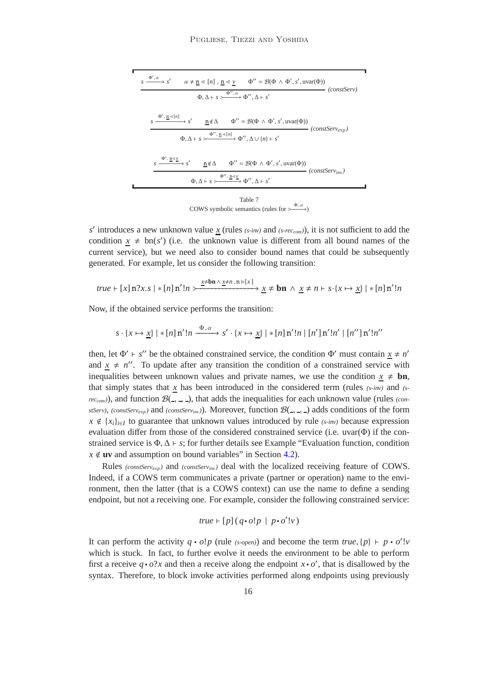|  |                                                                                                                                     |         | $s \xrightarrow{\Phi', \alpha} s' \qquad \alpha \neq \underline{n} \triangleleft [n]$ , $\underline{n} \triangleleft \underline{v} \qquad \Phi'' = \mathcal{B}(\Phi \wedge \Phi', s', \text{uvar}(\Phi))$ |                                              | $\longrightarrow$ (constServ) |
|--|-------------------------------------------------------------------------------------------------------------------------------------|---------|-----------------------------------------------------------------------------------------------------------------------------------------------------------------------------------------------------------|----------------------------------------------|-------------------------------|
|  | $\Phi \cdot \Delta \vdash s \xrightarrow{\Phi''', \alpha} \Phi''', \Delta \vdash s'$                                                |         |                                                                                                                                                                                                           |                                              |                               |
|  |                                                                                                                                     |         | $s \xrightarrow{\Phi', \underline{n} \triangleleft [n]} s'$ $n \notin \Delta$ $\Phi'' = \mathcal{B}(\Phi \wedge \Phi', s', \text{uvar}(\Phi))$                                                            | $\longleftarrow$ (constServ <sub>exn</sub> ) |                               |
|  | $\Phi$ , $\Delta \vdash s \xrightarrow{\Phi''}, \underline{n} \triangleleft [n] \Rightarrow \Phi''$ , $\Delta \cup \{n\} \vdash s'$ |         |                                                                                                                                                                                                           |                                              |                               |
|  |                                                                                                                                     |         | $s \xrightarrow{\Phi', \underline{n} \triangleleft \underline{v}} s'$ $n \notin \Delta$ $\Phi'' = \mathcal{B}(\Phi \wedge \Phi', s', \text{uvar}(\Phi))$                                                  | $\longleftarrow$ (constServ <sub>inv</sub> ) |                               |
|  | $\Phi$ , $\Delta \vdash s \xrightarrow{\Phi''}, \underline{n \triangleleft \underline{v}} \Phi''$ , $\Delta \vdash s'$              |         |                                                                                                                                                                                                           |                                              |                               |
|  |                                                                                                                                     | Table 7 |                                                                                                                                                                                                           |                                              |                               |
|  |                                                                                                                                     |         | COWS symbolic semantics (rules for $\searrow^{\Phi, \alpha}$ )                                                                                                                                            |                                              |                               |

<span id="page-15-0"></span>*s* ′ introduces a new unknown value *x* (rules *(s-inv)* and *(s-reccom)*), it is not sufficient to add the condition  $x \neq bn(s')$  (i.e. the unknown value is different from all bound names of the current service), but we need also to consider bound names that could be subsequently generated. For example, let us consider the following transition:

true 
$$
\vdash [x] n?x.s \mid \ast [n] n'!n \rightarrow \frac{x \neq \text{bn} \land x \neq n, n \triangleright [x]}{x \neq \text{bn} \land x \neq n \vdash s \cdot \{x \mapsto x\} \mid \ast [n] n'!n
$$

Now, if the obtained service performs the transition:

$$
s \cdot \{x \mapsto \underline{x}\} \mid * [n] \operatorname{n}'! n \xrightarrow{\Phi, \alpha} s' \cdot \{x \mapsto \underline{x}\} \mid * [n] \operatorname{n}'! n \mid [n'] \operatorname{n}'! n' \mid [n''] \operatorname{n}'! n''
$$

then, let  $\Phi' \vdash s''$  be the obtained constrained service, the condition  $\Phi'$  must contain  $x \neq n'$ and  $x \neq n''$ . To update after any transition the condition of a constrained service with inequalities between unknown values and private names, we use the condition  $x \neq \mathbf{bn}$ , that simply states that *x* has been introduced in the considered term (rules *(s-inv)* and *(s* $rec_{com}$ ), and function  $\mathcal{B}(\_,\_,\_)$ , that adds the inequalities for each unknown value (rules *(con* $s_{s, s}(Serv)$ , *(constServ<sub>exp</sub>*) and *(constServ<sub>inv</sub>)*). Moreover, function  $\mathcal{B}(\alpha, \beta, \beta)$  adds conditions of the form  $x \notin \{x_i\}_{i \in I}$  to guarantee that unknown values introduced by rule *(s-inv)* because expression evaluation differ from those of the considered constrained service (i.e. uvar(Φ) if the constrained service is Φ, ∆ ⊢ *s*; for further details see Example "Evaluation function, condition  $x \notin$  **uv** and assumption on bound variables" in Section [4.2\)](#page-18-0).

Rules *(constServexp )* and *(constServinv )* deal with the localized receiving feature of COWS. Indeed, if a COWS term communicates a private (partner or operation) name to the environment, then the latter (that is a COWS context) can use the name to define a sending endpoint, but not a receiving one. For example, consider the following constrained service:

$$
true \vdash [p] (q \cdot o! p \mid p \cdot o'! v)
$$

It can perform the activity  $q \cdot o! p$  (rule *(s-open)*) and become the term *true*,  $\{p\} \vdash p \cdot o'! v$ which is stuck. In fact, to further evolve it needs the environment to be able to perform first a receive  $q \cdot o$ ?*x* and then a receive along the endpoint  $x \cdot o'$ , that is disallowed by the syntax. Therefore, to block invoke activities performed along endpoints using previously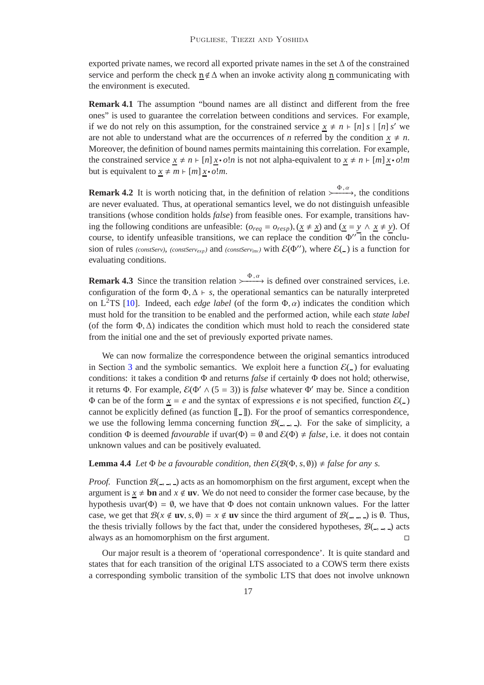exported private names, we record all exported private names in the set ∆ of the constrained service and perform the check  $\underline{n} \notin \Delta$  when an invoke activity along  $\underline{n}$  communicating with the environment is executed.

<span id="page-16-0"></span>**Remark 4.1** The assumption "bound names are all distinct and different from the free ones" is used to guarantee the correlation between conditions and services. For example, if we do not rely on this assumption, for the constrained service  $\overline{x} \neq n + [n] s | [n] s'$  we are not able to understand what are the occurrences of *n* referred by the condition  $x \neq n$ . Moreover, the definition of bound names permits maintaining this correlation. For example, the constrained service  $x \neq n$  ⊢ [*n*]  $x \cdot o!n$  is not not alpha-equivalent to  $x \neq n$  ⊢ [*m*]  $x \cdot o!m$ but is equivalent to  $\underline{x} \neq m$  ⊢  $[m] \underline{x} \cdot o!m$ .

**Remark 4.2** It is worth noticing that, in the definition of relation  $\rightarrow^{\Phi, \alpha}$ , the conditions are never evaluated. Thus, at operational semantics level, we do not distinguish unfeasible transitions (whose condition holds *false*) from feasible ones. For example, transitions having the following conditions are unfeasible:  $(o_{\text{rea}} = o_{\text{resp}})$ ,  $(x \neq x)$  and  $(x = y \land x \neq y)$ . Of course, to identify unfeasible transitions, we can replace the condition  $\Phi^{\prime\prime}$  in the conclusion of rules *(constServ)*, *(constServ<sub>exp</sub>*) and *(constServ<sub>inv</sub>)* with  $\mathcal{E}(\Phi'')$ , where  $\mathcal{E}(\phi)$  is a function for evaluating conditions.

**Remark 4.3** Since the transition relation  $\rightarrow^{\Phi, \alpha}$  is defined over constrained services, i.e. configuration of the form  $\Phi$ ,  $\Delta \vdash s$ , the operational semantics can be naturally interpreted on L<sup>2</sup>TS [\[10\]](#page-27-11). Indeed, each *edge label* (of the form  $\Phi$ ,  $\alpha$ ) indicates the condition which must hold for the transition to be enabled and the performed action, while each *state label* (of the form  $\Phi$ ,  $\Delta$ ) indicates the condition which must hold to reach the considered state from the initial one and the set of previously exported private names.

We can now formalize the correspondence between the original semantics introduced in Section [3](#page-6-0) and the symbolic semantics. We exploit here a function  $\mathcal{E}(\_)$  for evaluating conditions: it takes a condition Φ and returns *false* if certainly Φ does not hold; otherwise, it returns Φ. For example, E(Φ′ ∧ (5 = 3)) is *false* whatever Φ′ may be. Since a condition  $\Phi$  can be of the form  $x = e$  and the syntax of expressions *e* is not specified, function  $\mathcal{E}(\square)$ cannot be explicitly defined (as function  $[\![\;_-\!]$ ). For the proof of semantics correspondence, we use the following lemma concerning function  $\mathcal{B}(\underline{\ } , \underline{\ } , \underline{\ } )$ . For the sake of simplicity, a condition  $\Phi$  is deemed *favourable* if  $uvar(\Phi) = \emptyset$  and  $\mathcal{E}(\Phi) \neq false$ , i.e. it does not contain unknown values and can be positively evaluated.

### <span id="page-16-1"></span>**Lemma 4.4** *Let*  $\Phi$  *be a favourable condition, then*  $\mathcal{E}(\mathcal{B}(\Phi, s, \emptyset)) \neq false$  *for any s.*

*Proof.* Function  $B($ , , , ) acts as an homomorphism on the first argument, except when the argument is  $x \neq$  **bn** and  $x \notin$  **uv**. We do not need to consider the former case because, by the hypothesis uvar( $\Phi$ ) =  $\emptyset$ , we have that  $\Phi$  does not contain unknown values. For the latter case, we get that  $\mathcal{B}(x \notin \mathbf{uv}, s, \emptyset) = x \notin \mathbf{uv}$  since the third argument of  $\mathcal{B}(\mathbf{u}, \mathbf{u}, \mathbf{v})$  is  $\emptyset$ . Thus, the thesis trivially follows by the fact that, under the considered hypotheses,  $\mathcal{B}(\_,\_,\_)$  acts always as an homomorphism on the first argument.

Our major result is a theorem of 'operational correspondence'. It is quite standard and states that for each transition of the original LTS associated to a COWS term there exists a corresponding symbolic transition of the symbolic LTS that does not involve unknown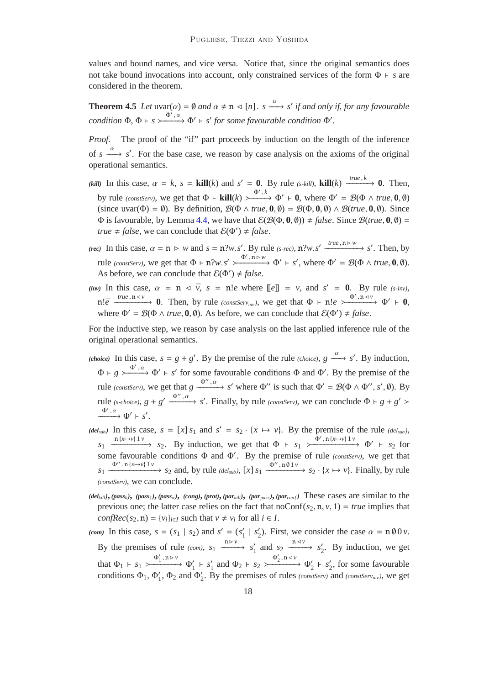values and bound names, and vice versa. Notice that, since the original semantics does not take bound invocations into account, only constrained services of the form Φ ⊢ *s* are considered in the theorem.

**Theorem 4.5** *Let*  $\text{uvar}(\alpha) = \emptyset$  *and*  $\alpha \neq n \leq [n]$ *.*  $s \xrightarrow{\alpha} s'$  *if and only if, for any favourable condition*  $\Phi$ ,  $\Phi$   $\vdash$  *s*  $\rightarrow$   $\stackrel{\Phi'}{\longrightarrow}$   $\Phi'$   $\vdash$  *s' for some favourable condition*  $\Phi'$ .

*Proof.* The proof of the "if" part proceeds by induction on the length of the inference of  $s \xrightarrow{\alpha} s'$ . For the base case, we reason by case analysis on the axioms of the original operational semantics.

- *(kill)* In this case,  $\alpha = k$ ,  $s = \textbf{kill}(k)$  and  $s' = 0$ . By rule *(s-kill)*,  $\textbf{kill}(k) \xrightarrow{true, k} 0$ . Then, by rule *(constServ)*, we get that  $\Phi \vdash \textbf{kill}(k) \longrightarrow^{\Phi',k} \Phi' \vdash \mathbf{0}$ , where  $\Phi' = \mathcal{B}(\Phi \wedge true, \mathbf{0}, \emptyset)$ (since uvar( $\Phi$ ) =  $\emptyset$ ). By definition,  $\mathcal{B}(\Phi \wedge true, \mathbf{0}, \emptyset) = \mathcal{B}(\Phi, \mathbf{0}, \emptyset) \wedge \mathcal{B}(true, \mathbf{0}, \emptyset)$ . Since **Φ** is favourable, by Lemma [4.4,](#page-16-1) we have that  $E(B(\Phi, \mathbf{0}, \emptyset)) \neq false$ . Since  $B(true, \mathbf{0}, \emptyset) =$ *true*  $\neq$  *false*, we can conclude that  $\mathcal{E}(\Phi') \neq$  *false*.
- *(rec)* In this case,  $\alpha = n \rhd w$  and  $s = n$ ?*w.s'*. By rule *(s-rec)*,  $n$ ?*w.s'*  $\xrightarrow{true, n \rhd w} s'$ . Then, by rule *(constServ)*, we get that  $\Phi \vdash n$ ?*w.s'*  $\rightarrow^{\Phi', n \triangleright w}$   $\Phi' \vdash s'$ , where  $\Phi' = \mathcal{B}(\Phi \land true, \mathbf{0}, \emptyset)$ . As before, we can conclude that  $\mathcal{E}(\Phi') \neq false$ .
- *(inv)* In this case,  $\alpha = n \le \bar{\nu}$ ,  $s = n!e$  where  $[\![e]\!] = \nu$ , and  $s' = 0$ . By rule *(s-inv)*,  $n!\bar{e}$   $\xrightarrow{true, n \prec v} 0$ . Then, by rule *(constServ<sub>inv</sub>)*, we get that  $\Phi \vdash n!e \succ^{ \Phi', n \prec v} \Phi' \vdash 0$ , where  $\Phi' = \mathcal{B}(\Phi \wedge true, \mathbf{0}, \emptyset)$ . As before, we can conclude that  $\mathcal{E}(\Phi') \neq false$ .

For the inductive step, we reason by case analysis on the last applied inference rule of the original operational semantics.

- *(choice)* In this case,  $s = g + g'$ . By the premise of the rule *(choice)*,  $g \xrightarrow{\alpha} s'$ . By induction,  $\Phi \vdash g \xrightarrow{\Phi', \alpha} \Phi' \vdash s'$  for some favourable conditions  $\Phi$  and  $\Phi'$ . By the premise of the rule *(constServ)*, we get that  $g \xrightarrow{\Phi''', \alpha} s'$  where  $\Phi''$  is such that  $\Phi' = \mathcal{B}(\Phi \wedge \Phi'', s', \emptyset)$ . By rule *(s-choice)*,  $g + g' \xrightarrow{\Phi''', \alpha} s'$ . Finally, by rule *(constServ)*, we can conclude  $\Phi \vdash g + g' >$  $\xrightarrow{\Phi', \alpha} \Phi' \vdash s'.$
- *(del<sub>sub</sub>)* In this case,  $s = [x] s_1$  and  $s' = s_2 \cdot \{x \mapsto v\}$ . By the premise of the rule *(del<sub>sub</sub>*),  $s_1 \xrightarrow{\mathbf{n} \{x \mapsto y\} \mathbf{1} \nu} s_2$ . By induction, we get that  $\Phi \vdash s_1 \xrightarrow{\Phi', \mathbf{n} \{x \mapsto y\} \mathbf{1} \nu} \Phi' \vdash s_2$  for some favourable conditions Φ and Φ′ . By the premise of rule *(constServ)*, we get that  $s_1 \xrightarrow{\Phi''$ ,  $n\{x\mapsto v\} \perp v} s_2$  and, by rule *(del<sub>sub</sub>)*, [*x*]  $s_1 \xrightarrow{\Phi''}$ ,  $n \otimes 1 \vee s_2 \cdot \{x \mapsto v\}$ . Finally, by rule *(constServ)*, we can conclude.
- $(del_{kill})$ , (pass<sub>k</sub>), (pass<sub>†</sub>), (pass<sub>a</sub>), (cong), (prot), (par<sub>kill</sub>), (par<sub>pass</sub>), (par<sub>conf</sub>) These cases are similar to the previous one; the latter case relies on the fact that noConf( $s_2$ , n,  $v$ , 1) = *true* implies that *confRec*( $s_2$ , **n**) = { $v_i$ }<sub>*i*∈*I*</sub> such that  $v \neq v_i$  for all  $i \in I$ .
- *(com)* In this case,  $s = (s_1 | s_2)$  and  $s' = (s'_1)$  $\frac{1}{1}$  |  $s_2'$  $\alpha$ <sup>2</sup>). First, we consider the case  $\alpha = n \, \theta \, 0 \, \nu$ . By the premises of rule *(com)*,  $s_1 \xrightarrow{\textbf{n} \rhd \nu} s'_1$  $s_1'$  and  $s_2 \xrightarrow{n \triangleleft v} s_2'$  $y'_2$ . By induction, we get that  $\Phi_1$  ⊦  $s_1$  >  $\xrightarrow{\Phi'_1, n \triangleright v} \Phi'_1 \vdash s'_1$  $\frac{1}{1}$  and  $\Phi_2$  ⊢  $s_2$  >  $\xrightarrow{\Phi'_2, \mathbf{n} \triangleleft v} \Phi'_2 \vdash s'_2$  $y_2'$ , for some favourable conditions  $\Phi_1$ ,  $\Phi'_1$ ,  $\Phi_2$  and  $\Phi'_2$ . By the premises of rules *(constServ*) and *(constServ<sub>inv</sub>)*, we get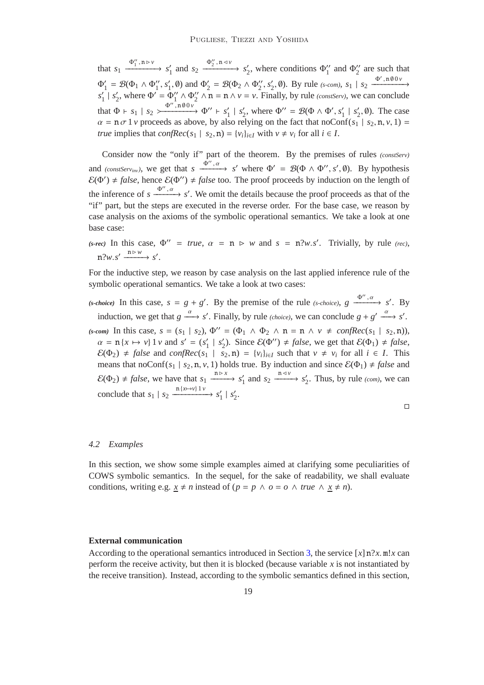that *s*<sup>1</sup>  $\xrightarrow{\Phi_1'', \, n \triangleright v} s_1'$  and  $s_2$  $\xrightarrow{\Phi_2'', \mathbf{n} \triangleleft \nu} s_2',$  where conditions  $\Phi_1''$  and  $\Phi_2''$  are such that  $\Phi'_1 = \mathcal{B}(\Phi_1 \wedge \Phi''_1, s'_1)$  $\mathcal{L}_1^{\prime}$ , (0) and  $\Phi_2^{\prime} = \mathcal{B}(\Phi_2 \wedge \Phi_2^{\prime\prime}, s_2^{\prime\prime})$  $Z'_2$ , (0). By rule *(s-com)*,  $S_1 \rvert S_2 \xrightarrow{\Phi', n \emptyset 0 \nu}$  $s'_1$  |  $s'_2$ , where  $\Phi' = \Phi''_1 \wedge \Phi''_2 \wedge \bar{\mathbf{n}} = \bar{\mathbf{n}} \wedge v = v$ . Finally, by rule *(constServ)*, we can conclude that  $\Phi \vdash s_1 \mid s_2 \rightarrow^{\Phi'' , n \emptyset 0 \vee} \Phi'' \vdash s'_1$  $\frac{1}{1}$  |  $s_2'$ <sup>2</sup>, where  $Φ'' = B(Φ ∧ Φ', s'_1)$  $\frac{1}{1}$  |  $s_2'$  $'_{2}$ ,  $\emptyset$ ). The case  $\alpha = n \sigma 1$  *v* proceeds as above, by also relying on the fact that noConf( $s_1$  |  $s_2, n, v, 1$ ) = *true* implies that *confRec*( $s_1 | s_2, n$ ) = { $v_i$ } $i \in I$  with  $v \neq v_i$  for all  $i \in I$ .

Consider now the "only if" part of the theorem. By the premises of rules *(constServ)* and *(constServ<sub>inv</sub>)*, we get that  $s \xrightarrow{\Phi''', \alpha} s'$  where  $\Phi' = \mathcal{B}(\Phi \wedge \Phi'', s', \emptyset)$ . By hypothesis  $\mathcal{E}(\Phi') \neq false$ , hence  $\mathcal{E}(\Phi'') \neq false$  too. The proof proceeds by induction on the length of the inference of  $s \xrightarrow{\Phi''', \alpha} s'$ . We omit the details because the proof proceeds as that of the "if" part, but the steps are executed in the reverse order. For the base case, we reason by case analysis on the axioms of the symbolic operational semantics. We take a look at one base case:

 $(s$ *-rec)* In this case,  $\Phi'' = true$ ,  $\alpha = n \geq w$  and  $s = n$ ?*w.s'*. Trivially, by rule *(rec)*,  $n?w.s' \xrightarrow{n \rhd w} s'.$ 

For the inductive step, we reason by case analysis on the last applied inference rule of the symbolic operational semantics. We take a look at two cases:

*(s-choice)* In this case,  $s = g + g'$ . By the premise of the rule *(s-choice)*,  $g \xrightarrow{\Phi''', \alpha} s'$ . By induction, we get that  $g \xrightarrow{\alpha} s'$ . Finally, by rule *(choice)*, we can conclude  $g + g' \xrightarrow{\alpha} s'$ .  $(s\text{-}com)$  In this case,  $s = (s_1 \mid s_2), \Phi'' = (\Phi_1 \land \Phi_2 \land n = n \land v \neq \text{confRec}(s_1 \mid s_2, n)),$  $\alpha = \mathbf{n} \{x \mapsto v\} 1 v \text{ and } s' = (s_1')$  $\frac{1}{1}$  |  $s_2'$  $Z_2'$ ). Since  $\mathcal{E}(\Phi'') \neq false$ , we get that  $\mathcal{E}(\Phi_1) \neq false$ ,  $\mathcal{E}(\Phi_2) \neq false$  and  $confRec(s_1 | s_2, n) = \{v_i\}_{i \in I}$  such that  $v \neq v_i$  for all  $i \in I$ . This means that noConf( $s_1 \mid s_2, n, v, 1$ ) holds true. By induction and since  $\mathcal{E}(\Phi_1) \neq false$  and  $\mathcal{E}(\Phi_2) \neq false$ , we have that  $s_1 \xrightarrow{\text{n} \triangleright x} s'_1$  $s_1'$  and  $s_2 \xrightarrow{\mathbf{n} \triangleleft v} s_2'$  $\frac{1}{2}$ . Thus, by rule *(com)*, we can conclude that  $s_1 | s_2 \xrightarrow{\mathbf{n} \{x \mapsto v\} \perp v} s'_1 | s'_2$ .

|  |  | ___ |  |  |
|--|--|-----|--|--|
|  |  |     |  |  |
|  |  |     |  |  |
|  |  |     |  |  |

#### <span id="page-18-0"></span>*4.2 Examples*

In this section, we show some simple examples aimed at clarifying some peculiarities of COWS symbolic semantics. In the sequel, for the sake of readability, we shall evaluate conditions, writing e.g.  $x \neq n$  instead of  $(p = p \land o = o \land true \land x \neq n)$ .

#### **External communication**

According to the operational semantics introduced in Section [3,](#page-6-0) the service  $[x]$  n?*x*. m!*x* can perform the receive activity, but then it is blocked (because variable *x* is not instantiated by the receive transition). Instead, according to the symbolic semantics defined in this section,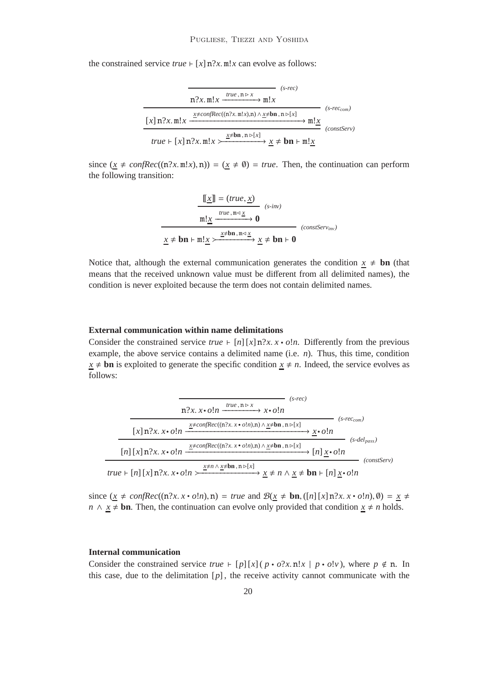the constrained service  $true \vdash [x] \cdot n?x \cdot m!x$  can evolve as follows:

$$
\overbrace{\n[x] \, n?x. \, m!x \xrightarrow{true, n \triangleright x} m!x}^{(s-rec)} \xrightarrow{(s-rec)}
$$
\n
$$
\overbrace{\n[x] \, n?x. \, m!x \xrightarrow{\underline{x} \neq confRec((n?x. m!x), n) \land \underline{x} \neq \mathbf{bn}, n \triangleright [x]}^{(s-rec)}
$$
\n
$$
\overbrace{\ntrue \vdash [x] \, n?x. \, m!x \xrightarrow{\underline{x} \neq \mathbf{bn}, n \triangleright [x]} \underline{x} \neq \mathbf{bn} \vdash m! \underline{x}}^{(s-rec)
$$
\n
$$
(constServ)
$$

since  $(x \neq confRec((n?x.m!x), n)) = (x \neq 0) = true$ . Then, the continuation can perform the following transition:

$$
\frac{\mathbb{I}[x]] = (true, \underline{x})}{\mathfrak{m}! \underline{x} \xrightarrow{true, \mathfrak{m} \triangleleft \underline{x}} \mathfrak{0}} \xrightarrow{(s\text{-}inv)}
$$
\n
$$
\underline{x} \neq \mathbf{bn} \vdash \mathfrak{m}! \underline{x} \rightarrow \underline{x \neq \mathbf{bn}, \mathfrak{m} \triangleleft \underline{x}} \xrightarrow{\underline{x} \neq \mathbf{bn} \vdash \mathbf{0}} (\text{const} \text{Serv}_{inv})
$$

Notice that, although the external communication generates the condition  $x \neq$  **bn** (that means that the received unknown value must be different from all delimited names), the condition is never exploited because the term does not contain delimited names.

### **External communication within name delimitations**

Consider the constrained service  $true \vdash [n][x] \cdot x \cdot x \cdot o!n$ . Differently from the previous example, the above service contains a delimited name (i.e. *n*). Thus, this time, condition  $x \neq$  **bn** is exploited to generate the specific condition  $x \neq n$ . Indeed, the service evolves as follows:



since  $(\underline{x} \neq confRec((n?x, x \cdot o!n), n) = true$  and  $\mathcal{B}(\underline{x} \neq \mathbf{bn}, ([n][x] n?x, x \cdot o!n), \emptyset) = \underline{x} \neq$ *n* ∧  $x \neq$  **bn**. Then, the continuation can evolve only provided that condition  $x \neq n$  holds.

### **Internal communication**

Consider the constrained service *true* ⊢  $[p][x](p \cdot o?x.n!x | p \cdot o!v)$ , where  $p \notin n$ . In this case, due to the delimitation  $[p]$ , the receive activity cannot communicate with the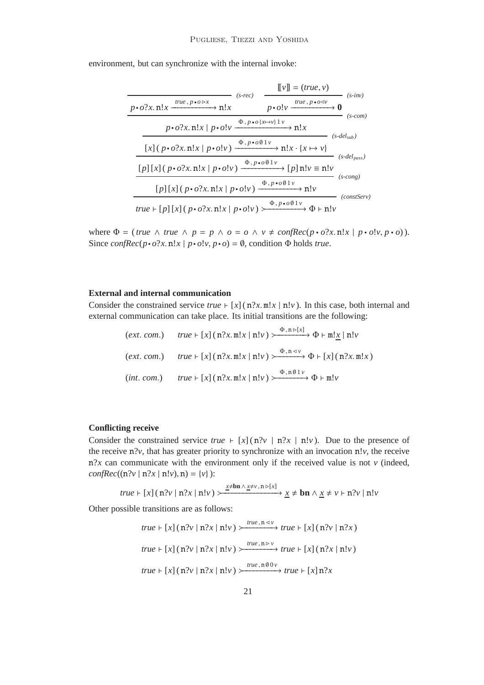environment, but can synchronize with the internal invoke:

| $\llbracket v \rrbracket = (true, v)$<br>$\longrightarrow$ (s-rec)                                                                        | $\longrightarrow$ (s-inv)        |
|-------------------------------------------------------------------------------------------------------------------------------------------|----------------------------------|
| $p \cdot o!v \xrightarrow{true, p \cdot o \triangleleft v} 0$<br>$p \cdot o$ ?x. n!x $\xrightarrow{true, p \cdot o \triangleright x}$ n!x |                                  |
| $p \cdot o$ ?x. n!x   $p \cdot o! v \xrightarrow{\Phi, p \cdot o \{x \mapsto v\} 1 v}$ n!x                                                | $(s$ -com $)$                    |
| $[x] (p \cdot o?x.n!x   p \cdot o!v) \xrightarrow{\Phi, p \cdot o \emptyset 1v} n!x \cdot \{x \mapsto v\}$                                | $-$ (s-del <sub>sub</sub> )      |
| $[p][x](p \cdot o?x \cdot n!x   p \cdot o!v) \xrightarrow{\Phi, p \cdot o \emptyset 1v} [p]n!v \equiv n!v$                                | $-$ (s-del <sub>pass</sub> )     |
| $[p][x](p \cdot o?x. \mathbf{n}!x   p \cdot o!v) \xrightarrow{\Phi, p \cdot o \emptyset 1v} \mathbf{n}!v$                                 | $(s\text{-}cong)$<br>(constServ) |
| $true \vdash [p] [x] (p \cdot o?x.n!x   p \cdot o!v) \rightarrow^{\Phi, p \cdot o \emptyset 1v} \Phi \vdash n!v$                          |                                  |

where  $\Phi = (\text{true} \land \text{true} \land p = p \land o = o \land v \neq \text{confRec}(p \cdot o?x \cdot n!x \mid p \cdot o!v, p \cdot o)).$ Since  $confRec(p \cdot o?x \cdot n!x \mid p \cdot o!y, p \cdot o) = \emptyset$ , condition  $\Phi$  holds *true*.

### **External and internal communication**

Consider the constrained service  $true \vdash [x] (n?x.m!x \mid n!y)$ . In this case, both internal and external communication can take place. Its initial transitions are the following:

$$
(ext. com.) \quad true \vdash [x] (n?x.m!x \mid n!v) \xrightarrow{\Phi, n \rhd [x]} \Phi \vdash m!x \mid n!v
$$
\n
$$
(ext. com.) \quad true \vdash [x] (n?x.m!x \mid n!v) \xrightarrow{\Phi, n \rhd v} \Phi \vdash [x] (n?x.m!x)
$$
\n
$$
(int. com.) \quad true \vdash [x] (n?x.m!x \mid n!v) \xrightarrow{\Phi, n \theta \vdash v} \Phi \vdash m!v
$$

### **Conflicting receive**

Consider the constrained service  $true \vdash [x](n?y \mid n?x \mid n!y)$ . Due to the presence of the receive  $n$ ?*v*, that has greater priority to synchronize with an invocation  $n!v$ , the receive  $n$ ?*x* can communicate with the environment only if the received value is not *v* (indeed, *confRec*(( $n$ ?*v* |  $n$ ?*x* |  $n$ !*v*),  $n$ ) = {*v*} ):

true 
$$
\vdash [x] (n?v | n?x | n!v) \rightarrow
$$
  
 $\xrightarrow{x \neq bn \land x \neq v, n \triangleright [x]} x \neq bn \land x \neq v \vdash n?v | n!v$ 

Other possible transitions are as follows:

$$
true \vdash [x] (n?v \mid n?x \mid n!v) \xrightarrow{true, n \triangleleft v} true \vdash [x] (n?v \mid n?x)
$$
\n
$$
true \vdash [x] (n?v \mid n?x \mid n!v) \xrightarrow{true, n \triangleright v} true \vdash [x] (n?x \mid n!v)
$$
\n
$$
true \vdash [x] (n?v \mid n?x \mid n!v) \xrightarrow{true, n \emptyset 0 v} true \vdash [x] n?x
$$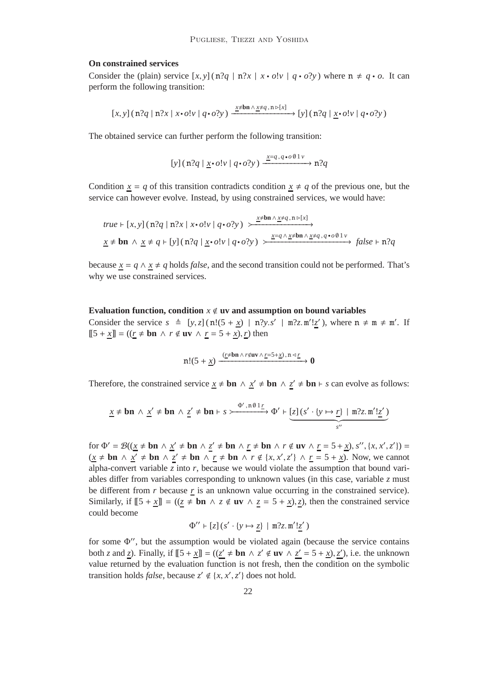#### **On constrained services**

Consider the (plain) service  $[x, y]$  ( $\mathbf{n}$ ?*q* |  $\mathbf{n}$ ?*x* | *x* • *o*!*v* | *q* • *o*?*y*) where  $\mathbf{n} \neq q$  • *o*. It can perform the following transition:

$$
[x, y] \left(\mathbf{n}?\mathbf{q} \mid \mathbf{n}?\mathbf{x} \mid x \cdot o!v \mid q \cdot o?y\right) \xrightarrow{\underline{x} \neq \mathbf{bn} \land \underline{x} \neq \mathbf{q}, \mathbf{n} \triangleright [x]} [y] \left(\mathbf{n}?\mathbf{q} \mid \underline{x} \cdot o!v \mid q \cdot o?y\right)
$$

The obtained service can further perform the following transition:

$$
[y] \left( \mathbf{n}^2 q \mid \underline{x} \cdot o! v \mid q \cdot o? y \right) \xrightarrow{\underline{x} = q, q \cdot o \emptyset 1 v} \mathbf{n}^2 q
$$

Condition  $x = q$  of this transition contradicts condition  $x \neq q$  of the previous one, but the service can however evolve. Instead, by using constrained services, we would have:

$$
\begin{aligned}\n\text{true} &\vdash [x, y] \, (\, \mathbf{n} \, ?q \mid \, \mathbf{n} \, ?x \mid x \cdot o!v \mid q \cdot o?y \,) \, \xrightarrow{\underline{x} \neq \mathbf{bn} \, \wedge \, \underline{x} \neq q \, , \, \mathbf{n} \triangleright [x]} \\
\underline{x} &\neq \mathbf{bn} \, \wedge \, \underline{x} \neq q \vdash [y] \, (\, \mathbf{n} \, ?q \mid \underline{x} \cdot o!v \mid q \cdot o?y \,) \, \xrightarrow{\underline{x} = q \, \wedge \, \underline{x} \neq \mathbf{bn} \, \wedge \, \underline{x} \neq q \, , \, q \cdot o \, \emptyset \, 1 \, v} \\
\end{aligned}
$$
\n
$$
\text{false} \vdash \mathbf{n} \, ?q
$$

because  $x = q \land x \neq q$  holds *false*, and the second transition could not be performed. That's why we use constrained services.

**Evaluation function, condition**  $x \notin \mathbf{uv}$  and assumption on bound variables Consider the service  $s \triangleq [y, z]$  ( $n!(5 + x) \mid n?y.s' \mid m?z.m'!z'$ ), where  $n \neq m \neq m'$ . If  $[[5 + x]] = ((r \neq \mathbf{bn} \land r \notin \mathbf{uv} \land \underline{r} = 5 + \underline{x}), r)$  then

$$
n!(5+\underline{x}) \xrightarrow{(\underline{r}\neq \mathbf{bn} \land r\notin \mathbf{uv} \land \underline{r}=5+\underline{x}), n \triangleleft \underline{r}} 0
$$

Therefore, the constrained service  $\underline{x} \neq \mathbf{bn} \land \underline{x}' \neq \mathbf{bn} \land \underline{z}' \neq \mathbf{bn} \vdash s$  can evolve as follows:

$$
\underline{x} \neq \mathbf{bn} \ \wedge \ \underline{x}' \neq \mathbf{bn} \ \wedge \ \underline{z}' \neq \mathbf{bn} + s \rightarrow^{\Phi', n \emptyset \, 1} \underline{r} \ \Phi' + \underbrace{[z] \, (s' \cdot \{y \mapsto \underline{r}\} \mid \mathfrak{m} ? z \cdot \mathfrak{m}' ! \underline{z}' }_{s''}
$$

for  $\Phi' = \mathcal{B}((x \neq \mathbf{bn} \land \underline{x'} \neq \mathbf{bn} \land \underline{z'} \neq \mathbf{bn} \land \underline{r} \neq \mathbf{bn} \land \underline{r} \notin \mathbf{uv} \land \underline{r} = 5 + \underline{x}), s'', \{x, x', z'\}) =$  $(x ≠ bn \land x' ≠ bn \land z' ≠ bn \land r ≠ bn \land r ≠ (x, x', z') \land r = 5 + x$ ). Now, we cannot alpha-convert variable  $\zeta$  into  $r$ , because we would violate the assumption that bound variables differ from variables corresponding to unknown values (in this case, variable *z* must be different from  $r$  because  $r$  is an unknown value occurring in the constrained service). Similarly, if  $[5 + x] = ((z \neq \mathbf{bn} \land z \notin \mathbf{uv} \land z = 5 + x), z)$ , then the constrained service could become

$$
\Phi'' \vdash [z] (s' \cdot \{y \mapsto \underline{z}\} \mid \mathfrak{m}?\mathfrak{z}, \mathfrak{m}'! \underline{z}' )
$$

for some Φ′′, but the assumption would be violated again (because the service contains both *z* and *z*). Finally, if  $[5 + x] = ((z' \neq \mathbf{bn} \land z' \notin \mathbf{uv} \land z' = 5 + x), z'$ , i.e. the unknown value returned by the evaluation function is not fresh, then the condition on the symbolic transition holds *false*, because  $z' \notin \{x, x', z'\}$  does not hold.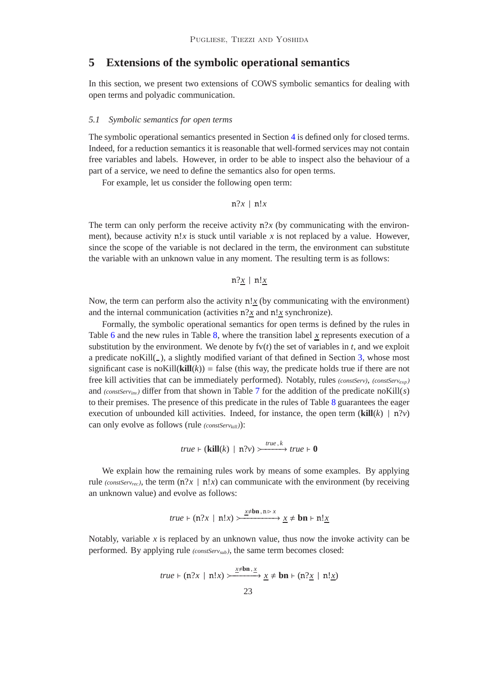## <span id="page-22-0"></span>**5 Extensions of the symbolic operational semantics**

In this section, we present two extensions of COWS symbolic semantics for dealing with open terms and polyadic communication.

### *5.1 Symbolic semantics for open terms*

The symbolic operational semantics presented in Section [4](#page-11-1) is defined only for closed terms. Indeed, for a reduction semantics it is reasonable that well-formed services may not contain free variables and labels. However, in order to be able to inspect also the behaviour of a part of a service, we need to define the semantics also for open terms.

For example, let us consider the following open term:

$$
n?x \mid n!x
$$

The term can only perform the receive activity n?*x* (by communicating with the environment), because activity  $n!x$  is stuck until variable x is not replaced by a value. However, since the scope of the variable is not declared in the term, the environment can substitute the variable with an unknown value in any moment. The resulting term is as follows:

$$
\mathbf{n}?\underline{x} \mid \mathbf{n}!\underline{x}
$$

Now, the term can perform also the activity n!*x* (by communicating with the environment) and the internal communication (activities  $n? \underline{x}$  and  $n! \underline{x}$  synchronize).

Formally, the symbolic operational semantics for open terms is defined by the rules in Table [6](#page-13-0) and the new rules in Table [8,](#page-23-1) where the transition label *x* represents execution of a substitution by the environment. We denote by  $f(v(t))$  the set of variables in  $t$ , and we exploit a predicate noKill $(\_)$ , a slightly modified variant of that defined in Section [3,](#page-6-0) whose most significant case is noKill( $\textbf{kill}(k)$ ) = false (this way, the predicate holds true if there are not free kill activities that can be immediately performed). Notably, rules *(constServ)*, *(constServexp )* and  $\langle \text{constServ}_{inv} \rangle$  differ from that shown in Table [7](#page-15-0) for the addition of the predicate noKill(s) to their premises. The presence of this predicate in the rules of Table [8](#page-23-1) guarantees the eager execution of unbounded kill activities. Indeed, for instance, the open term  $(kill(k) | n?v)$ can only evolve as follows (rule *(constServkill)*):

$$
true \vdash (kill(k) \mid n?v) \rightarrow^{\text{true},k} true \vdash 0
$$

We explain how the remaining rules work by means of some examples. By applying rule *(constserv<sub>rec</sub>*), the term  $(n \lambda x \mid n!x)$  can communicate with the environment (by receiving an unknown value) and evolve as follows:

true 
$$
\vdash
$$
 (n?x | n!x)  $\xrightarrow{\underline{x} \neq \text{bn}, n \rhd x} \underline{x} \neq \text{bn} \rhd n! \underline{x}$ 

Notably, variable *x* is replaced by an unknown value, thus now the invoke activity can be performed. By applying rule *(constServ<sub>sub</sub>*), the same term becomes closed:

true 
$$
\vdash
$$
 (n?x | n!x)  $\xrightarrow{\underline{x} \neq \text{bn}, \underline{x}} \underline{x} \neq \text{bn} \vdash$  (n?x | n!x)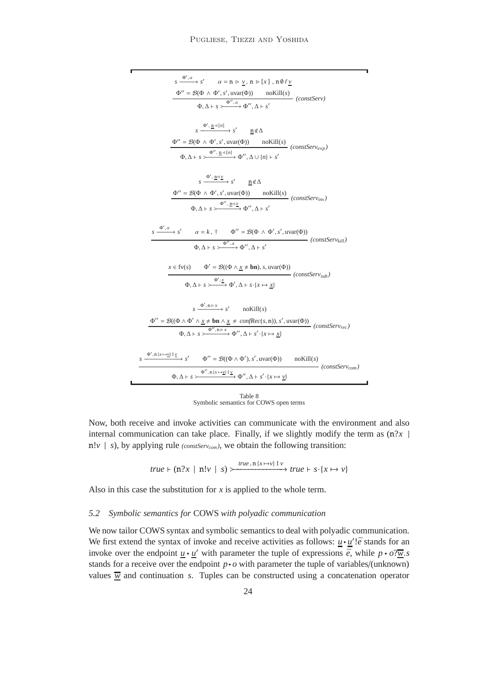| $s \xrightarrow{\Phi', \alpha} s' \qquad \alpha = \mathbf{n} \triangleright \underline{v}, \, \mathbf{n} \triangleright [x]$ , $\mathbf{n} \emptyset \ell \underline{v}$                                                                                                                                                                                                                                                                                                                                                 |
|--------------------------------------------------------------------------------------------------------------------------------------------------------------------------------------------------------------------------------------------------------------------------------------------------------------------------------------------------------------------------------------------------------------------------------------------------------------------------------------------------------------------------|
| $\frac{\Phi^{\prime\prime} = \mathcal{B}(\Phi \, \wedge \, \Phi^\prime, s^\prime, \text{uvar}(\Phi)) \qquad \text{noKill}(s)}{\Phi, \Delta \vdash s \xrightarrow{\Phi^{\prime\prime}, \alpha} \Phi^{\prime\prime}, \Delta \vdash s^\prime} \ (\textit{const} \textit{Serv})$                                                                                                                                                                                                                                             |
|                                                                                                                                                                                                                                                                                                                                                                                                                                                                                                                          |
| $s \xrightarrow{\Phi', \underline{n} \triangleleft [n]} s' \qquad n \notin \Delta$                                                                                                                                                                                                                                                                                                                                                                                                                                       |
| $\Phi'' = \mathcal{B}(\Phi \wedge \Phi', s', \text{uvar}(\Phi))$ noKill(s) (constServ <sub>exp</sub> )                                                                                                                                                                                                                                                                                                                                                                                                                   |
| $\Phi$ , $\Delta \vdash s \xrightarrow{\Phi''', \underline{n} \triangleleft [n]} \Phi'', \Delta \cup \{n\} \vdash s'$                                                                                                                                                                                                                                                                                                                                                                                                    |
| $s \xrightarrow{\Phi', \underline{n} \triangleleft \underline{v}} s' \qquad \underline{n} \notin \Delta$                                                                                                                                                                                                                                                                                                                                                                                                                 |
| $\Phi'' = \mathcal{B}(\Phi \wedge \Phi', s', \text{uvar}(\Phi))$ noKill(s)<br>(constServ <sub>inv</sub> )                                                                                                                                                                                                                                                                                                                                                                                                                |
| $\Phi \Delta \vdash s \xrightarrow{\Phi''', \underline{n} \triangleleft \underline{v}} \Phi'', \Delta \vdash s'$                                                                                                                                                                                                                                                                                                                                                                                                         |
| $s \xrightarrow{\Phi', \alpha} s' \qquad \alpha = k, \dagger \qquad \Phi'' = \mathcal{B}(\Phi \wedge \Phi', s', \text{uvar}(\Phi))$<br>$\longleftarrow$ (constServ <sub>kill</sub> )                                                                                                                                                                                                                                                                                                                                     |
| $\Phi, \Delta \vdash s \xrightarrow{\Phi'', \alpha} \Phi'', \Delta \vdash s'$                                                                                                                                                                                                                                                                                                                                                                                                                                            |
| $x \in \text{fv}(s)$ $\Phi' = \mathcal{B}((\Phi \wedge \underline{x} \neq \mathbf{bn}), s, \text{uvar}(\Phi))$<br>$\overline{\qquad}$ (constServ <sub>sub</sub> )                                                                                                                                                                                                                                                                                                                                                        |
| $\Phi \Delta \vdash s \xrightarrow{\Phi', \underline{x}} \Phi', \Delta \vdash s \cdot \{x \mapsto x\}$                                                                                                                                                                                                                                                                                                                                                                                                                   |
| $s \xrightarrow{\Phi', \mathfrak{n} \rhd x} s'$ noKill(s)                                                                                                                                                                                                                                                                                                                                                                                                                                                                |
|                                                                                                                                                                                                                                                                                                                                                                                                                                                                                                                          |
| $\begin{aligned} \underline{\Phi}^{\prime\prime} &= \mathcal{B}((\Phi \wedge \Phi^\prime \wedge \underline{x} \neq \mathbf{bn} \wedge \underline{x} \neq \mathit{confRec}(s,n)), s^\prime, \mathit{uvar}(\Phi)) \\ & \quad \Phi, \Delta \vdash s > \\ \end{aligned} \quad \begin{aligned} \underline{\Phi^{\prime\prime}, n \vartriangleright x} & \xrightarrow{\Phi^{\prime\prime}, n \vartriangleright x} & \Delta^{\prime\prime}, \Delta \vdash s^\prime \cdot \{x \mapsto x\} \end{aligned} \quad (constServ_{rec})$ |
| $s \xrightarrow{\Phi', n\{x \mapsto y\} \underline{1} \underline{v}} s' \qquad \Phi'' = \mathcal{B}((\Phi \wedge \Phi'), s', \text{uvar}(\Phi)) \qquad \text{nokill}(s)$<br>$\longrightarrow$ (constServ <sub>com</sub> )                                                                                                                                                                                                                                                                                                |
| $\Phi, \Delta \vdash s \rightarrow^{\Phi'', n \{x \mapsto y\} \perp y} \Phi'', \Delta \vdash s' \cdot \{x \mapsto y\}$                                                                                                                                                                                                                                                                                                                                                                                                   |
|                                                                                                                                                                                                                                                                                                                                                                                                                                                                                                                          |

<span id="page-23-1"></span>Table 8 Symbolic semantics for COWS open terms

Now, both receive and invoke activities can communicate with the environment and also internal communication can take place. Finally, if we slightly modify the term as  $(n \, 2x)$  $n!v$  | *s*), by applying rule *(constServ<sub>com</sub>*), we obtain the following transition:

 $true \vdash (\mathbf{n}?\mathbf{x} \mid \mathbf{n}! \mathbf{v} \mid s) \rightarrow \xrightarrow{true, \mathbf{n} \{x \mapsto \mathbf{v}\} \mathbf{1} \mathbf{v}} true \vdash s \cdot \{x \mapsto \mathbf{v}\}\$ 

Also in this case the substitution for  $x$  is applied to the whole term.

### <span id="page-23-0"></span>*5.2 Symbolic semantics for* COWS *with polyadic communication*

We now tailor COWS syntax and symbolic semantics to deal with polyadic communication. We first extend the syntax of invoke and receive activities as follows:  $u \cdot u'$ ! *e* stands for an invoke over the endpoint  $\underline{u} \cdot \underline{u}'$  with parameter the tuple of expressions  $\overline{e}$ , while  $p \cdot o \cdot \overline{\mathcal{W}}$ .*s* stands for a receive over the endpoint  $p \cdot o$  with parameter the tuple of variables/(unknown) values  $\overline{w}$  and continuation *s*. Tuples can be constructed using a concatenation operator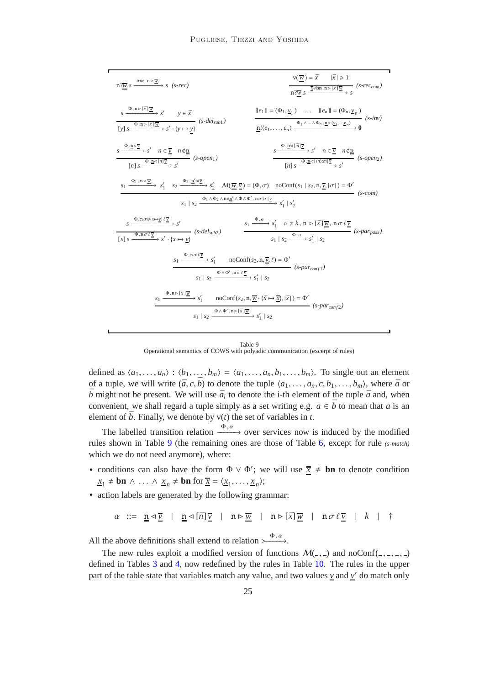| $v(\overline{w}) = \overline{x}$ $ \overline{x}  \ge 1$<br>$n? \overline{w}. s \xrightarrow{true, n \triangleright \overline{w}} s \quad (s\text{-}rec)$                                                                                                                                                                                                                                                                                                                                                                                                                                                                                                                                               | $\overbrace{\mathfrak{n}\overbrace{\mathcal{W}}^{ \overline{X}+\mathbf{bn},\,\mathfrak{n}\rhd \overline{[\bar{x}]\,\overline{\mathcal{W}}}}^{ \overline{X}+\mathbf{bn},\,\mathfrak{n}\rhd \overline{[\bar{x}]\,\overline{\mathcal{W}}}}^{ \  \  \, (s\text{-}rec_{com})}$ |
|--------------------------------------------------------------------------------------------------------------------------------------------------------------------------------------------------------------------------------------------------------------------------------------------------------------------------------------------------------------------------------------------------------------------------------------------------------------------------------------------------------------------------------------------------------------------------------------------------------------------------------------------------------------------------------------------------------|---------------------------------------------------------------------------------------------------------------------------------------------------------------------------------------------------------------------------------------------------------------------------|
| $s \xrightarrow{\Phi, n \triangleright [\bar{x}] \overline{\underline{w}}} s' \qquad y \in \bar{x}$<br>$\label{eq:21} \begin{aligned} &\text{[}e_1\text{]} \text{]} = (\Phi_1,\underline{\nu}_1\text{)} &\dots &\text{[}e_n\text{]} \text{]} = (\Phi_n,\underline{\nu}_n)\\ &\frac{\Phi_1\wedge\ldots\wedge\Phi_n\,,\underline{n} \triangleleft \langle \underline{\nu}_1,\dots,\underline{\nu}_n\rangle}{\Phi_1\wedge\ldots\wedge\Phi_n\,,\underline{n} \triangleleft \langle \underline{\nu}_1,\dots,\underline{\nu}_n\rangle}\text{,} \end{aligned}$<br>$[y]\ s \xrightarrow{\ \Phi, \mathfrak{n}\rhd [\bar{x}]\,\overline{\underline{w}}\,} \ s' \cdot \{y \mapsto y\} \quad (\textit{s-delsub1})$ | $-$ (s-inv)                                                                                                                                                                                                                                                               |
| $s \xrightarrow{\Phi, \underline{n} \triangleleft \underline{\overline{v}}} s' \quad n \in \underline{\overline{v}} \quad n \notin \underline{n}$<br>$s \xrightarrow{\Psi, \underline{\mathfrak{n}} \triangleleft [\bar{m}] \underline{\overline{\nu}}} s' \quad n \in \underline{\overline{\nu}} \quad n \not\in \underline{\mathfrak{n}}$<br>$[n] \simeq \xrightarrow{\Phi, \underline{n} \triangle [n] \underline{\overline{v}} \xrightarrow{v}} (s\text{-open}_1)$                                                                                                                                                                                                                                 | $\frac{\Phi, \underline{n} \triangleleft [\langle n \rangle : \overline{n}] \overline{v}}{\left[n\right] \overline{x} \longrightarrow c'}$ (s-open <sub>2</sub> )                                                                                                         |
| $s_1 \xrightarrow{\Phi_1, n \triangleright \overline{w}} s'_1$ $s_2 \xrightarrow{\Phi_2, n' \triangleleft \overline{v}} s'_2$ $\mathcal{M}(\overline{\underline{w}}, \overline{\underline{v}}) = (\Phi, \sigma)$ $\text{noConf}(s_1 \mid s_2, n, \overline{\underline{v}},  \sigma ) = \Phi'$<br>$s_1   s_2 \xrightarrow{\Phi_1 \wedge \Phi_2 \wedge \mathbf{n} = \underline{\mathbf{n}}' \wedge \Phi \wedge \Phi', \mathbf{n} \sigma   \sigma   \underline{\overline{v}}}{s'_1   s'_2}$                                                                                                                                                                                                               | $\longrightarrow$ $(s\text{-}com)$                                                                                                                                                                                                                                        |
| $s \xrightarrow{\Phi, n \sigma \uplus \{x \mapsto \underline{v}\} \ell \underline{\overline{v}}$ $s'$<br>$s_1 \xrightarrow{\Psi, \alpha} s'_1 \quad \alpha \neq k, \, \mathfrak{n} \triangleright [\bar{x}] \overline{\underline{w}}, \, \mathfrak{n} \sigma \ell \overline{\underline{v}}$<br>$\frac{1}{s_1 \mid s_2 \xrightarrow{\Phi, \alpha} s'_1 \mid s_2} (s \text{-}par_{pass})$<br>$[x]\ s \xrightarrow{\Phi, n\sigma\ell\,\overline{\underline{v}}} s'\cdot\{x\mapsto v\} \ (s\text{-}del_{sub2})$                                                                                                                                                                                            |                                                                                                                                                                                                                                                                           |
| $s_1 \xrightarrow{\Phi, n \sigma \ell \overline{\nu}} s'_1$ noConf(s <sub>2</sub> , n, $\overline{\underline{v}}$ , $\ell$ ) = $\Phi'$<br>$\leftarrow$ (s-par <sub>conf1</sub> )<br>$s_1 \mid s_2 \xrightarrow{\Phi \wedge \Phi', n \sigma \ell \overline{v}} s'_1 \mid s_2$                                                                                                                                                                                                                                                                                                                                                                                                                           |                                                                                                                                                                                                                                                                           |
| $s_1 \xrightarrow{\Phi, n \triangleright [\bar{x}] \overline{w}} s'_1$ noConf(s <sub>2</sub> , n, $\overline{\underline{w}} \cdot {\overline{x}} \mapsto \overline{x}$ ), $ \bar{x} $ ) = $\Phi'$<br>$\longrightarrow$ (s-par <sub>conf2</sub> )<br>$s_1   s_2 \xrightarrow{\Phi \wedge \Phi', n \triangleright [\bar{x}] \underline{\overline{w}}$ $s'_1   s_2$                                                                                                                                                                                                                                                                                                                                       |                                                                                                                                                                                                                                                                           |
|                                                                                                                                                                                                                                                                                                                                                                                                                                                                                                                                                                                                                                                                                                        |                                                                                                                                                                                                                                                                           |

<span id="page-24-0"></span>Table 9 Operational semantics of COWS with polyadic communication (excerpt of rules)

defined as  $\langle a_1, \ldots, a_n \rangle : \langle b_1, \ldots, b_m \rangle = \langle a_1, \ldots, a_n, b_1, \ldots, b_m \rangle$ . To single out an element of a tuple, we will write  $(\bar{a}, c, \bar{b})$  to denote the tuple  $\langle a_1, \ldots, a_n, c, b_1, \ldots, b_m \rangle$ , where  $\bar{a}$  or  $\bar{b}$  might not be present. We will use  $\bar{a}_i$  to denote the *i*-th element of the tuple  $\bar{a}$  and, when convenient, we shall regard a tuple simply as a set writing e.g.  $a \in \bar{b}$  to mean that *a* is an element of  $\bar{b}$ . Finally, we denote by  $v(t)$  the set of variables in *t*.

The labelled transition relation  $\xrightarrow{\Phi, \alpha}$  over services now is induced by the modified rules shown in Table [9](#page-24-0) (the remaining ones are those of Table [6,](#page-13-0) except for rule *(s-match)* which we do not need anymore), where:

- conditions can also have the form  $\Phi \vee \Phi'$ ; we will use  $\overline{x} \neq \mathbf{bn}$  to denote condition  $\underline{x}_1 \neq \mathbf{bn} \land \dots \land \underline{x}_n \neq \mathbf{bn} \text{ for } \underline{\overline{x}} = \langle \underline{x}_1, \dots, \underline{x}_n \rangle;$
- action labels are generated by the following grammar:

$$
\alpha \ ::= \ \underline{n} \triangleleft \overline{\underline{v}} \ | \ \underline{n} \triangleleft [\overline{n}] \overline{\underline{v}} \ | \ n \triangleright \underline{\overline{w}} \ | \ n \triangleright [\overline{x}] \overline{\underline{w}} \ | \ n \sigma \ell \overline{\underline{v}} \ | k \ | \dagger
$$

All the above definitions shall extend to relation  $\rightarrow \rightarrow \rightarrow$ .

The new rules exploit a modified version of functions  $M($ ,  $)$  and noConf(,  $=$ ,  $=$ ,  $=$ ) defined in Tables [3](#page-8-1) and [4,](#page-9-0) now redefined by the rules in Table [10.](#page-25-0) The rules in the upper part of the table state that variables match any value, and two values  $\dot{v}$  and  $\dot{v}'$  do match only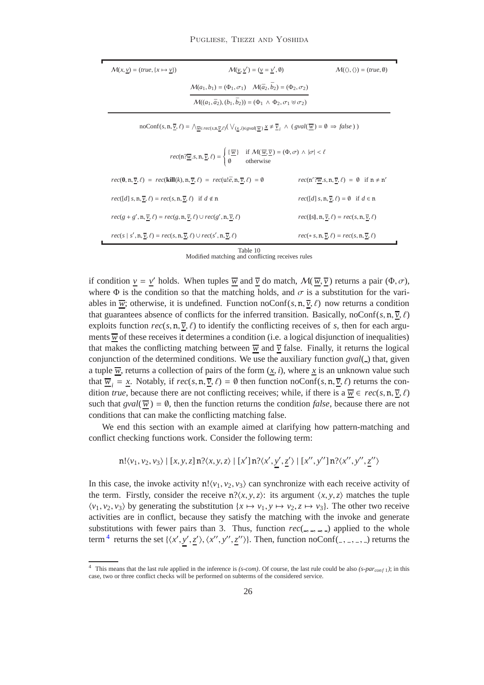|                                                                                                                                                                                             | $\mathcal{M}(x, v) = (true, \{x \mapsto v\})$                                                                                                                                                                                                                                                    | $\mathcal{M}(v, v') = (v = v', \emptyset)$                                                                                           |  | $\mathcal{M}(\langle \rangle, \langle \rangle) = (true, \emptyset)$         |  |  |  |  |  |
|---------------------------------------------------------------------------------------------------------------------------------------------------------------------------------------------|--------------------------------------------------------------------------------------------------------------------------------------------------------------------------------------------------------------------------------------------------------------------------------------------------|--------------------------------------------------------------------------------------------------------------------------------------|--|-----------------------------------------------------------------------------|--|--|--|--|--|
|                                                                                                                                                                                             | $M(a_1, b_1) = (\Phi_1, \sigma_1)$ $M(\bar{a}_2, \bar{b}_2) = (\Phi_2, \sigma_2)$                                                                                                                                                                                                                |                                                                                                                                      |  |                                                                             |  |  |  |  |  |
|                                                                                                                                                                                             |                                                                                                                                                                                                                                                                                                  |                                                                                                                                      |  |                                                                             |  |  |  |  |  |
|                                                                                                                                                                                             | noConf(s, n, $\overline{v}$ , $\ell$ ) = $\bigwedge_{\overline{w} \in rec(s, n, \overline{v}, \ell)} (\bigvee_{(\underline{x}, i) \in grad(\overline{w})} \underline{x} \neq \overline{v}_i \land (gval(\overline{w}) = \emptyset \Rightarrow false) )$                                          |                                                                                                                                      |  |                                                                             |  |  |  |  |  |
|                                                                                                                                                                                             | $rec(\mathbf{n}'\overline{\underline{w}},s,\mathbf{n},\overline{\underline{v}},\ell) = \begin{cases} \{\overline{\underline{w}}\} & \text{if } \mathcal{M}(\overline{\underline{w}},\overline{\underline{v}}) = (\Phi,\sigma) \land  \sigma  < \ell \\ \emptyset & \text{otherwise} \end{cases}$ |                                                                                                                                      |  |                                                                             |  |  |  |  |  |
|                                                                                                                                                                                             |                                                                                                                                                                                                                                                                                                  | $rec(0, n, \overline{v}, \ell) = rec(kill(k), n, \overline{v}, \ell) = rec(u \cdot \overline{e}, n, \overline{v}, \ell) = \emptyset$ |  | $rec(n' \overline{?w}.s, n, \overline{v}, \ell) = \emptyset$ if $n \neq n'$ |  |  |  |  |  |
|                                                                                                                                                                                             | $rec([d] \, s, n, \overline{v}, \ell) = rec(s, n, \overline{v}, \ell)$ if $d \notin n$                                                                                                                                                                                                           |                                                                                                                                      |  | $rec([d] \, s, n, \overline{v}, \ell) = \emptyset$ if $d \in n$             |  |  |  |  |  |
| $rec(g + g', n, \overline{v}, \ell) = rec(g, n, \overline{v}, \ell) \cup rec(g', n, \overline{v}, \ell)$<br>$rec(\lbrace s \rbrace, n, \overline{v}, \ell) = rec(s, n, \overline{v}, \ell)$ |                                                                                                                                                                                                                                                                                                  |                                                                                                                                      |  |                                                                             |  |  |  |  |  |
|                                                                                                                                                                                             | $rec(s   s', n, \overline{v}, \ell) = rec(s, n, \overline{v}, \ell) \cup rec(s', n, \overline{v}, \ell)$                                                                                                                                                                                         |                                                                                                                                      |  | $rec(* s, n, \overline{v}, \ell) = rec(s, n, \overline{v}, \ell)$           |  |  |  |  |  |
|                                                                                                                                                                                             |                                                                                                                                                                                                                                                                                                  | $T = 11.40$                                                                                                                          |  |                                                                             |  |  |  |  |  |

<span id="page-25-0"></span>Table 10 Modified matching and conflicting receives rules

if condition  $v = v'$  holds. When tuples  $\overline{w}$  and  $\overline{v}$  do match,  $\mathcal{M}(\overline{w}, \overline{v})$  returns a pair  $(\Phi, \sigma)$ , where  $\Phi$  is the condition so that the matching holds, and  $\sigma$  is a substitution for the variables in  $\overline{w}$ ; otherwise, it is undefined. Function noConf(s, n,  $\overline{y}$ ,  $\ell$ ) now returns a condition that guarantees absence of conflicts for the inferred transition. Basically, noConf(s, n,  $\bar{v}$ ,  $\ell$ ) exploits function  $rec(s, n, \overline{y}, \ell)$  to identify the conflicting receives of *s*, then for each arguments  $\overline{w}$  of these receives it determines a condition (i.e. a logical disjunction of inequalities) that makes the conflicting matching between  $\overline{w}$  and  $\overline{v}$  false. Finally, it returns the logical conjunction of the determined conditions. We use the auxiliary function *gval*(<sub>-</sub>) that, given a tuple  $\overline{w}$ , returns a collection of pairs of the form  $(x, i)$ , where x is an unknown value such that  $\overline{\underline{w}}_i = \underline{x}$ . Notably, if  $rec(s, n, \overline{\underline{v}}, \ell) = \emptyset$  then function noConf(*s*, n,  $\overline{\underline{v}}$ ,  $\ell$ ) returns the condition *true*, because there are not conflicting receives; while, if there is a  $\overline{w} \in rec(s, n, \overline{v}, \ell)$ such that  $gval(\overline{w}) = \emptyset$ , then the function returns the condition *false*, because there are not conditions that can make the conflicting matching false.

We end this section with an example aimed at clarifying how pattern-matching and conflict checking functions work. Consider the following term:

$$
\mathbf{n!}\langle v_1,v_2,v_3\rangle \mid [x,y,z] \, \mathbf{n?}\langle x,y,z\rangle \mid [x'] \, \mathbf{n?}\langle x',y',\underline{z}'\rangle \mid [x'',y''] \, \mathbf{n?}\langle x'',y'',\underline{z}''\rangle
$$

In this case, the invoke activity  $n! \langle v_1, v_2, v_3 \rangle$  can synchronize with each receive activity of the term. Firstly, consider the receive  $\eta$ ? $\langle x, y, z \rangle$ : its argument  $\langle x, y, z \rangle$  matches the tuple  $\langle v_1, v_2, v_3 \rangle$  by generating the substitution  $\{x \mapsto v_1, y \mapsto v_2, z \mapsto v_3\}$ . The other two receive activities are in conflict, because they satisfy the matching with the invoke and generate substitutions with fewer pairs than 3. Thus, function  $rec(\underline{\ } , \underline{\ } , \underline{\ } , \underline{\ } )$  applied to the whole term <sup>[4](#page-25-1)</sup> returns the set  $\{\langle x', y', z'\rangle, \langle x'', y'', z''\rangle\}$ . Then, function noConf(,,,,,,) returns the

<span id="page-25-1"></span><sup>&</sup>lt;sup>4</sup> This means that the last rule applied in the inference is *(s-com)*. Of course, the last rule could be also  $(s-par_{conf1})$ ; in this case, two or three conflict checks will be performed on subterms of the considered service.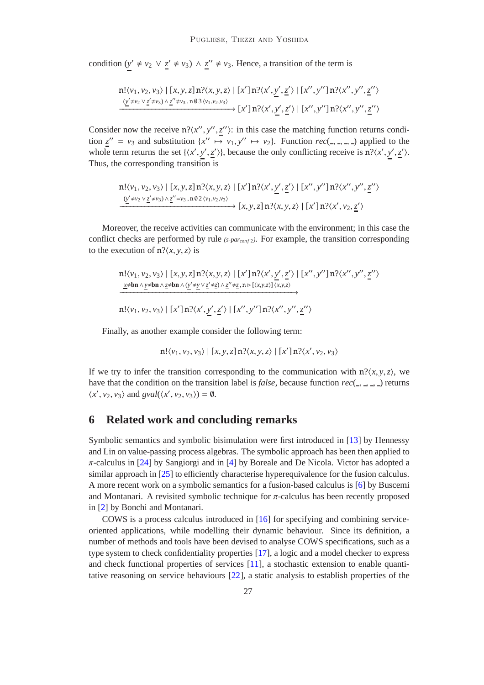condition  $(y' \neq v_2 \lor \underline{z}' \neq v_3) \land \underline{z}'' \neq v_3$ . Hence, a transition of the term is

$$
\begin{array}{c}\n\mathbf{n!}\langle v_1, v_2, v_3 \rangle \mid [x, y, z] \mathbf{n?}\langle x, y, z \rangle \mid [x'] \mathbf{n?}\langle x', \underline{y}', \underline{z}' \rangle \mid [x'', y''] \mathbf{n?}\langle x'', y'', \underline{z}'' \rangle \\
\underline{\langle v' \neq v_2 \lor \underline{z}' \neq v_3 \land \underline{z}'' \neq v_3, \mathbf{n} \emptyset \emptyset \langle v_1, v_2, v_3 \rangle} \\
\end{array}
$$
\n
$$
[x'] \mathbf{n?}\langle x', y', \underline{z}' \rangle \mid [x'', y''] \mathbf{n?}\langle x'', y'', \underline{z}'' \rangle
$$

Consider now the receive  $n$ ? $\langle x'', y'', z'' \rangle$ : in this case the matching function returns condition  $z'' = v_3$  and substitution  $\{x'' \mapsto v_1, y'' \mapsto v_2\}$ . Function  $rec(\underline{\hspace{1cm}}, \underline{\hspace{1cm}}, \underline{\hspace{1cm}}, \underline{\hspace{1cm}})$  applied to the whole term returns the set  $\{\langle x', y', z' \rangle\}$ , because the only conflicting receive is n? $\langle x', y', z' \rangle$ . Thus, the corresponding transition is

$$
\begin{array}{c}\nn! \langle v_1, v_2, v_3 \rangle \mid [x, y, z] \, n? \langle x, y, z \rangle \mid [x'] \, n? \langle x', \underline{y}', \underline{z}' \rangle \mid [x'', y''] \, n? \langle x'', y'', \underline{z}'' \rangle \\
\underbrace{(v' \neq v_2 \lor \underline{z}' \neq v_3) \land \underline{z}'' = v_3, n \, \emptyset \, 2 \langle v_1, v_2, v_3 \rangle} \quad [x, y, z] \, n? \langle x, y, z \rangle \mid [x'] \, n? \langle x', v_2, \underline{z}' \rangle\n\end{array}
$$

Moreover, the receive activities can communicate with the environment; in this case the conflict checks are performed by rule *(s-par<sub>conf2</sub>)*. For example, the transition corresponding to the execution of  $n$ ? $\langle x, y, z \rangle$  is

$$
\frac{\mathbf{n}!\langle v_1, v_2, v_3 \rangle \mid [x, y, z] \mathbf{n}?\langle x, y, z \rangle \mid [x'] \mathbf{n}?\langle x', \underline{y}', \underline{z}' \rangle \mid [x'', y''] \mathbf{n}?\langle x'', y'', \underline{z}'' \rangle \overbrace{\frac{x \neq \mathbf{bn} \land \underline{y} \neq \mathbf{bn} \land (\underline{y}' \neq \underline{y} \lor \underline{z}' \neq \underline{z}) \land \underline{z}'' \neq \underline{z}, \mathbf{n} \triangleright [\langle x, y, z \rangle] \langle x, y, z \rangle}}{\langle x, y, z \rangle}
$$

$$
\mathbf{n!}\langle v_1, v_2, v_3 \rangle \mid [x'] \mathbf{n?}\langle x', \underline{y'}, \underline{z'} \rangle \mid [x'', y''] \mathbf{n?}\langle x'', y'', \underline{z''} \rangle
$$

Finally, as another example consider the following term:

$$
\mathbf{n!}\langle v_1,v_2,v_3\rangle \mid [x,y,z]\,\mathbf{n?}\langle x,y,z\rangle \mid [x']\,\mathbf{n?}\langle x',v_2,v_3\rangle
$$

If we try to infer the transition corresponding to the communication with  $n$ ? $\langle x, y, z \rangle$ , we have that the condition on the transition label is *false*, because function  $rec(\underline{\ } , \underline{\ } , \underline{\ } , \underline{\ } )$  returns  $\langle x', v_2, v_3 \rangle$  and  $\text{gval}(\langle x', v_2, v_3 \rangle) = \emptyset$ .

## <span id="page-26-0"></span>**6 Related work and concluding remarks**

Symbolic semantics and symbolic bisimulation were first introduced in [\[13\]](#page-27-10) by Hennessy and Lin on value-passing process algebras. The symbolic approach has been then applied to  $\pi$ -calculus in [\[24\]](#page-28-5) by Sangiorgi and in [\[4\]](#page-27-12) by Boreale and De Nicola. Victor has adopted a similar approach in [\[25\]](#page-28-6) to efficiently characterise hyperequivalence for the fusion calculus. A more recent work on a symbolic semantics for a fusion-based calculus is [\[6\]](#page-27-13) by Buscemi and Montanari. A revisited symbolic technique for  $\pi$ -calculus has been recently proposed in [\[2\]](#page-27-14) by Bonchi and Montanari.

COWS is a process calculus introduced in [\[16\]](#page-27-8) for specifying and combining serviceoriented applications, while modelling their dynamic behaviour. Since its definition, a number of methods and tools have been devised to analyse COWS specifications, such as a type system to check confidentiality properties [\[17\]](#page-28-7), a logic and a model checker to express and check functional properties of services [\[11\]](#page-27-9), a stochastic extension to enable quantitative reasoning on service behaviours [\[22\]](#page-28-8), a static analysis to establish properties of the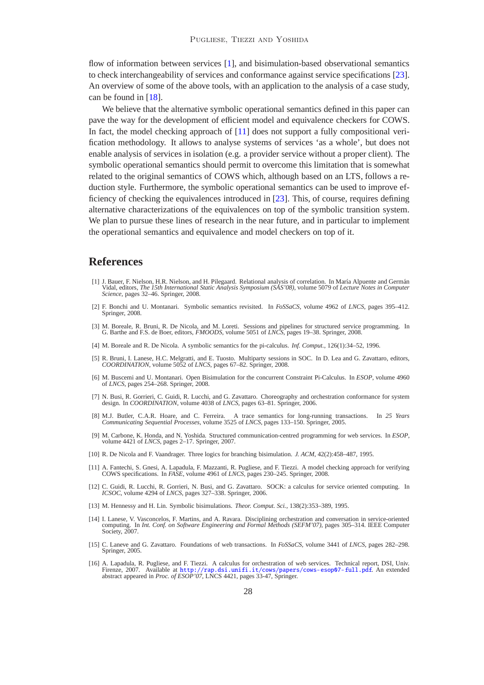flow of information between services [\[1\]](#page-27-15), and bisimulation-based observational semantics to check interchangeability of services and conformance against service specifications [\[23\]](#page-28-2). An overview of some of the above tools, with an application to the analysis of a case study, can be found in [\[18\]](#page-28-9).

We believe that the alternative symbolic operational semantics defined in this paper can pave the way for the development of efficient model and equivalence checkers for COWS. In fact, the model checking approach of [\[11\]](#page-27-9) does not support a fully compositional verification methodology. It allows to analyse systems of services 'as a whole', but does not enable analysis of services in isolation (e.g. a provider service without a proper client). The symbolic operational semantics should permit to overcome this limitation that is somewhat related to the original semantics of COWS which, although based on an LTS, follows a reduction style. Furthermore, the symbolic operational semantics can be used to improve efficiency of checking the equivalences introduced in [\[23\]](#page-28-2). This, of course, requires defining alternative characterizations of the equivalences on top of the symbolic transition system. We plan to pursue these lines of research in the near future, and in particular to implement the operational semantics and equivalence and model checkers on top of it.

## **References**

- <span id="page-27-15"></span>[1] J. Bauer, F. Nielson, H.R. Nielson, and H. Pilegaard. Relational analysis of correlation. In María Alpuente and Germán Vidal, editors, *The 15th International Static Analysis Symposium (SAS'08)*, volume 5079 of *Lecture Notes in Computer Science*, pages 32–46. Springer, 2008.
- <span id="page-27-14"></span>[2] F. Bonchi and U. Montanari. Symbolic semantics revisited. In *FoSSaCS*, volume 4962 of *LNCS*, pages 395–412. Springer, 2008.
- <span id="page-27-6"></span>[3] M. Boreale, R. Bruni, R. De Nicola, and M. Loreti. Sessions and pipelines for structured service programming. In G. Barthe and F.S. de Boer, editors, FMOODS, volume 5051 of LNCS, pages 19–38. Springer, 2008.
- <span id="page-27-12"></span><span id="page-27-7"></span>[4] M. Boreale and R. De Nicola. A symbolic semantics for the pi-calculus. *Inf. Comput.*, 126(1):34–52, 1996.
- [5] R. Bruni, I. Lanese, H.C. Melgratti, and E. Tuosto. Multiparty sessions in SOC. In D. Lea and G. Zavattaro, editors, *COORDINATION*, volume 5052 of *LNCS*, pages 67–82. Springer, 2008.
- <span id="page-27-13"></span>[6] M. Buscemi and U. Montanari. Open Bisimulation for the concurrent Constraint Pi-Calculus. In *ESOP*, volume 4960 of *LNCS*, pages 254–268. Springer, 2008.
- <span id="page-27-1"></span>[7] N. Busi, R. Gorrieri, C. Guidi, R. Lucchi, and G. Zavattaro. Choreography and orchestration conformance for system design. In *COORDINATION*, volume 4038 of *LNCS*, pages 63–81. Springer, 2006.
- <span id="page-27-0"></span>[8] M.J. Butler, C.A.R. Hoare, and C. Ferreira. A trace semantics for long-running transactions. In *25 Years Communicating Sequential Processes*, volume 3525 of *LNCS*, pages 133–150. Springer, 2005.
- <span id="page-27-4"></span>[9] M. Carbone, K. Honda, and N. Yoshida. Structured communication-centred programming for web services. In *ESOP*, volume 4421 of *LNCS*, pages 2–17. Springer, 2007.
- <span id="page-27-11"></span>[10] R. De Nicola and F. Vaandrager. Three logics for branching bisimulation. *J. ACM*, 42(2):458–487, 1995.
- <span id="page-27-9"></span>[11] A. Fantechi, S. Gnesi, A. Lapadula, F. Mazzanti, R. Pugliese, and F. Tiezzi. A model checking approach for verifying COWS specifications. In *FASE*, volume 4961 of *LNCS*, pages 230–245. Springer, 2008.
- <span id="page-27-3"></span>[12] C. Guidi, R. Lucchi, R. Gorrieri, N. Busi, and G. Zavattaro. SOCK: a calculus for service oriented computing. In *ICSOC*, volume 4294 of *LNCS*, pages 327–338. Springer, 2006.
- <span id="page-27-10"></span><span id="page-27-5"></span>[13] M. Hennessy and H. Lin. Symbolic bisimulations. *Theor. Comput. Sci.*, 138(2):353–389, 1995.
- [14] I. Lanese, V. Vasconcelos, F. Martins, and A. Ravara. Disciplining orchestration and conversation in service-oriented computing. In *Int. Conf. on Software Engineering and Formal Methods (SEFM'07)*, pages 305–314. IEEE Computer Society, 2007.
- <span id="page-27-2"></span>[15] C. Laneve and G. Zavattaro. Foundations of web transactions. In *FoSSaCS*, volume 3441 of *LNCS*, pages 282–298. Springer, 2005.
- <span id="page-27-8"></span>[16] A. Lapadula, R. Pugliese, and F. Tiezzi. A calculus for orchestration of web services. Technical report, DSI, Univ. Firenze, 2007. Available at <http://rap.dsi.unifi.it/cows/papers/cows-esop07-full.pdf>. An extended abstract appeared in *Proc. of ESOP'07*, LNCS 4421, pages 33-47, Springer.